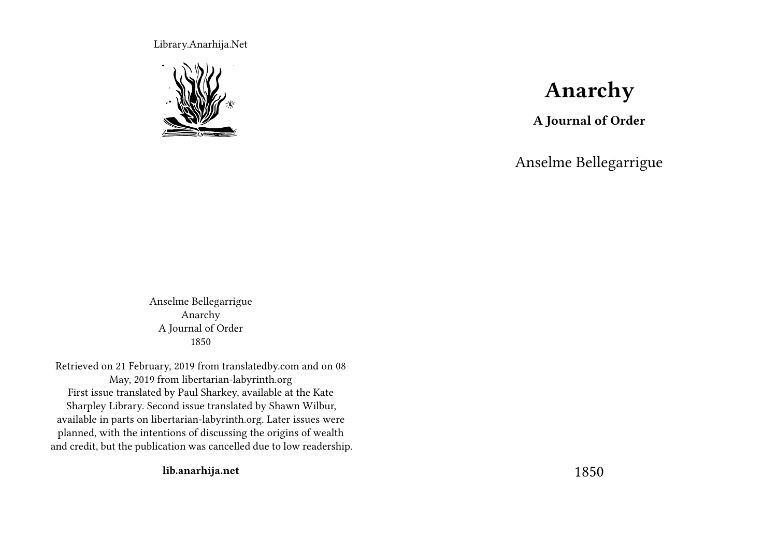Library.Anarhija.Net



# **Anarchy**

**A Journal of Order**

Anselme Bellegarrigue

Anselme Bellegarrigue Anarchy A Journal of Order 1850

Retrieved on 21 February, 2019 from translatedby.com and on 08 May, 2019 from libertarian-labyrinth.org First issue translated by Paul Sharkey, available at the Kate Sharpley Library. Second issue translated by Shawn Wilbur, available in parts on libertarian-labyrinth.org. Later issues were planned, with the intentions of discussing the origins of wealth and credit, but the publication was cancelled due to low readership.

**lib.anarhija.net**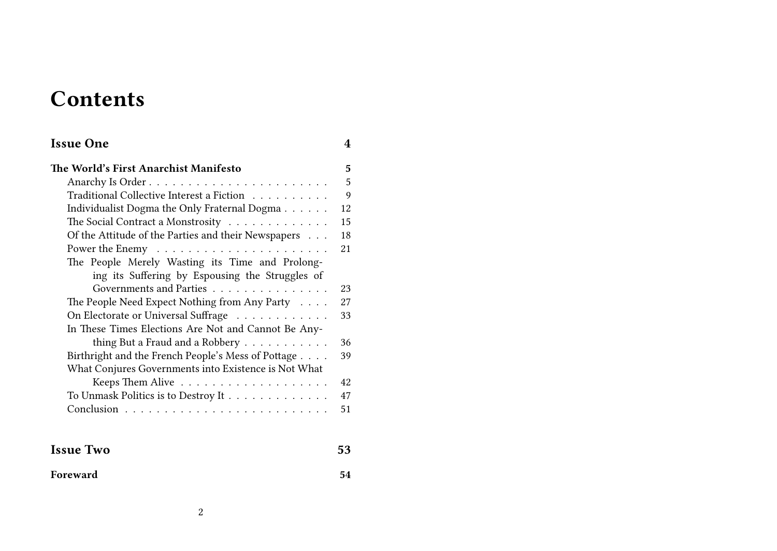# **Contents**

| <b>Issue One</b>                                     | 4  |
|------------------------------------------------------|----|
| The World's First Anarchist Manifesto                | 5  |
|                                                      | 5  |
| Traditional Collective Interest a Fiction            | 9  |
| Individualist Dogma the Only Fraternal Dogma         | 12 |
| The Social Contract a Monstrosity                    | 15 |
| Of the Attitude of the Parties and their Newspapers  | 18 |
|                                                      | 21 |
| The People Merely Wasting its Time and Prolong-      |    |
| ing its Suffering by Espousing the Struggles of      |    |
| Governments and Parties                              | 23 |
| The People Need Expect Nothing from Any Party        | 27 |
| On Electorate or Universal Suffrage                  | 33 |
| In These Times Elections Are Not and Cannot Be Any-  |    |
| thing But a Fraud and a Robbery                      | 36 |
| Birthright and the French People's Mess of Pottage   | 39 |
| What Conjures Governments into Existence is Not What |    |
|                                                      | 42 |
| To Unmask Politics is to Destroy It                  | 47 |
|                                                      | 51 |
|                                                      |    |
| <b>Issue Two</b>                                     | 53 |

| Foreward | 54 |
|----------|----|
|          |    |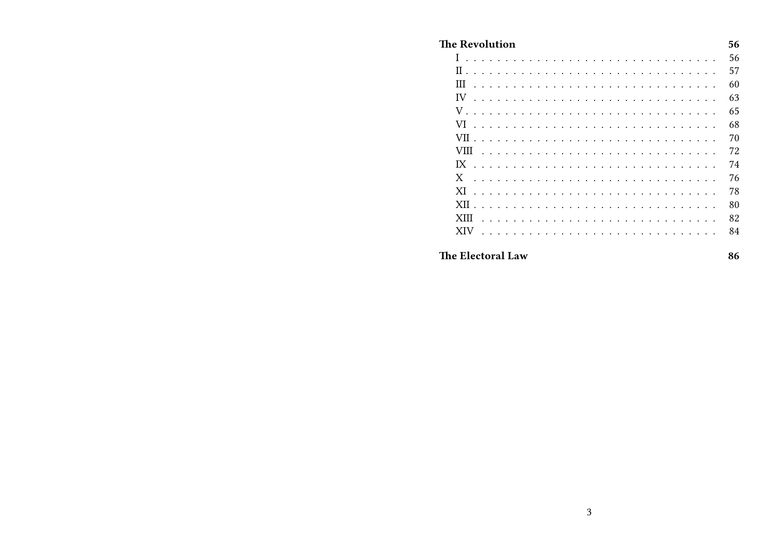| The Revolution                                                                                                                                                                            | 56 |
|-------------------------------------------------------------------------------------------------------------------------------------------------------------------------------------------|----|
| $I \ldots$                                                                                                                                                                                | 56 |
| $\Pi$                                                                                                                                                                                     | 57 |
| Ш<br>$\ddot{\phantom{a}}$<br>$\sim$<br>$\ddot{\phantom{a}}$<br>$\mathbf{r}$<br><b>Contract</b><br>$\mathbf{r}$<br>$\ddot{\phantom{a}}$                                                    | 60 |
| IV<br>.                                                                                                                                                                                   | 63 |
| $V \ldots$ .                                                                                                                                                                              | 65 |
| VI<br>.<br>$\sim$ $\sim$<br>$\sim$<br>$\ddot{\phantom{a}}$                                                                                                                                | 68 |
| VII<br>$\mathbf{r}$ , $\mathbf{r}$ , $\mathbf{r}$ , $\mathbf{r}$ , $\mathbf{r}$ , $\mathbf{r}$ , $\mathbf{r}$<br>$\sim$<br>$\sim$<br>$\sim$<br>$\sim$<br>$\mathbf{r}$<br>$\sim$<br>$\sim$ | 70 |
| VIII<br>$\mathbf{r}$ , $\mathbf{r}$ , $\mathbf{r}$ , $\mathbf{r}$                                                                                                                         | 72 |
| IX<br>.<br>$\mathbf{r}$                                                                                                                                                                   | 74 |
| X<br>$\begin{array}{cccccccccccccc} . & . & . & . & . & . & . & . \end{array}$<br>.                                                                                                       | 76 |
| XI<br>.<br>$\sim$ $\sim$ $\sim$<br>$\sim$ $\sim$<br>$\mathbb{R}^{\mathbb{Z}}$<br>$\sim$                                                                                                   | 78 |
| XII<br>$\mathbf{r}$ , $\mathbf{r}$ , $\mathbf{r}$ , $\mathbf{r}$ , $\mathbf{r}$ , $\mathbf{r}$ , $\mathbf{r}$ , $\mathbf{r}$<br>$\sim$<br>$\sim$                                          | 80 |
| XIII<br>$\overline{a}$                                                                                                                                                                    | 82 |
| <b>XIV</b>                                                                                                                                                                                | 84 |
| The Electoral Law                                                                                                                                                                         | 86 |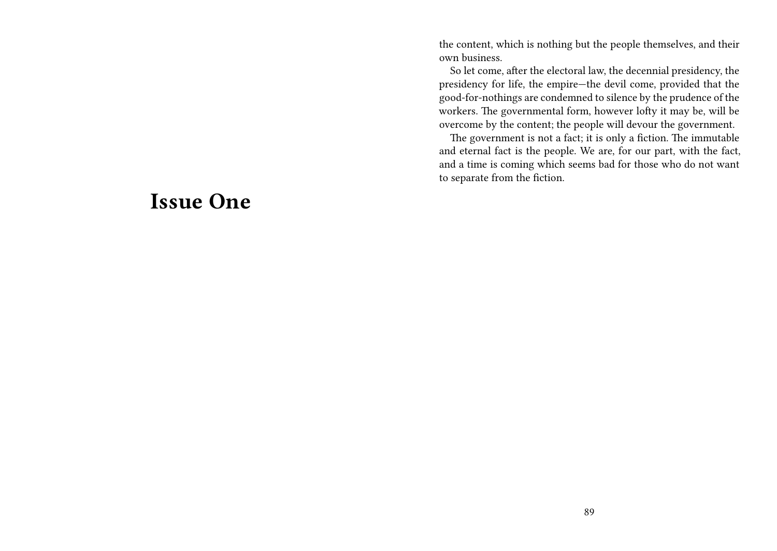the content, which is nothing but the people themselves, and their own business.

So let come, after the electoral law, the decennial presidency, the presidency for life, the empire—the devil come, provided that the good-for-nothings are condemned to silence by the prudence of the workers. The governmental form, however lofty it may be, will be overcome by the content; the people will devour the government.

The government is not a fact; it is only a fiction. The immutable and eternal fact is the people. We are, for our part, with the fact, and a time is coming which seems bad for those who do not want to separate from the fiction.

## **Issue One**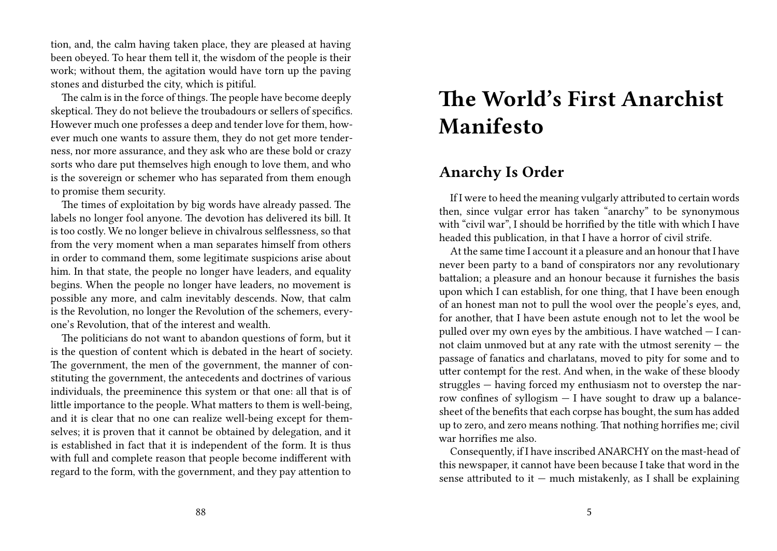tion, and, the calm having taken place, they are pleased at having been obeyed. To hear them tell it, the wisdom of the people is their work; without them, the agitation would have torn up the paving stones and disturbed the city, which is pitiful.

The calm is in the force of things. The people have become deeply skeptical. They do not believe the troubadours or sellers of specifics. However much one professes a deep and tender love for them, however much one wants to assure them, they do not get more tenderness, nor more assurance, and they ask who are these bold or crazy sorts who dare put themselves high enough to love them, and who is the sovereign or schemer who has separated from them enough to promise them security.

The times of exploitation by big words have already passed. The labels no longer fool anyone. The devotion has delivered its bill. It is too costly. We no longer believe in chivalrous selflessness, so that from the very moment when a man separates himself from others in order to command them, some legitimate suspicions arise about him. In that state, the people no longer have leaders, and equality begins. When the people no longer have leaders, no movement is possible any more, and calm inevitably descends. Now, that calm is the Revolution, no longer the Revolution of the schemers, everyone's Revolution, that of the interest and wealth.

The politicians do not want to abandon questions of form, but it is the question of content which is debated in the heart of society. The government, the men of the government, the manner of constituting the government, the antecedents and doctrines of various individuals, the preeminence this system or that one: all that is of little importance to the people. What matters to them is well-being, and it is clear that no one can realize well-being except for themselves; it is proven that it cannot be obtained by delegation, and it is established in fact that it is independent of the form. It is thus with full and complete reason that people become indifferent with regard to the form, with the government, and they pay attention to

# **The World's First Anarchist Manifesto**

#### **Anarchy Is Order**

If I were to heed the meaning vulgarly attributed to certain words then, since vulgar error has taken "anarchy" to be synonymous with "civil war", I should be horrified by the title with which I have headed this publication, in that I have a horror of civil strife.

At the same time I account it a pleasure and an honour that I have never been party to a band of conspirators nor any revolutionary battalion; a pleasure and an honour because it furnishes the basis upon which I can establish, for one thing, that I have been enough of an honest man not to pull the wool over the people's eyes, and, for another, that I have been astute enough not to let the wool be pulled over my own eyes by the ambitious. I have watched  $-$  I cannot claim unmoved but at any rate with the utmost serenity — the passage of fanatics and charlatans, moved to pity for some and to utter contempt for the rest. And when, in the wake of these bloody struggles — having forced my enthusiasm not to overstep the narrow confines of syllogism — I have sought to draw up a balancesheet of the benefits that each corpse has bought, the sum has added up to zero, and zero means nothing. That nothing horrifies me; civil war horrifies me also.

Consequently, if I have inscribed ANARCHY on the mast-head of this newspaper, it cannot have been because I take that word in the sense attributed to it  $-$  much mistakenly, as I shall be explaining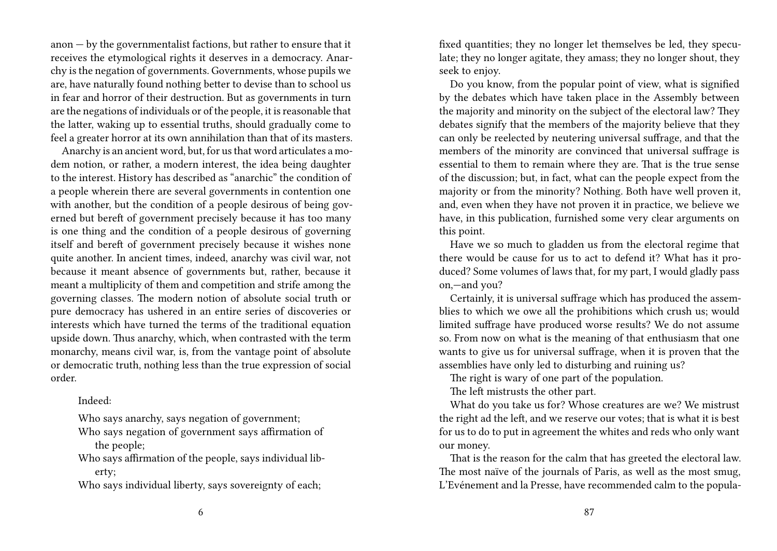anon — by the governmentalist factions, but rather to ensure that it receives the etymological rights it deserves in a democracy. Anarchy is the negation of governments. Governments, whose pupils we are, have naturally found nothing better to devise than to school us in fear and horror of their destruction. But as governments in turn are the negations of individuals or of the people, it is reasonable that the latter, waking up to essential truths, should gradually come to feel a greater horror at its own annihilation than that of its masters.

Anarchy is an ancient word, but, for us that word articulates a modem notion, or rather, a modern interest, the idea being daughter to the interest. History has described as "anarchic" the condition of a people wherein there are several governments in contention one with another, but the condition of a people desirous of being governed but bereft of government precisely because it has too many is one thing and the condition of a people desirous of governing itself and bereft of government precisely because it wishes none quite another. In ancient times, indeed, anarchy was civil war, not because it meant absence of governments but, rather, because it meant a multiplicity of them and competition and strife among the governing classes. The modern notion of absolute social truth or pure democracy has ushered in an entire series of discoveries or interests which have turned the terms of the traditional equation upside down. Thus anarchy, which, when contrasted with the term monarchy, means civil war, is, from the vantage point of absolute or democratic truth, nothing less than the true expression of social order.

Indeed:

Who says anarchy, says negation of government;

Who says negation of government says affirmation of the people;

Who says affirmation of the people, says individual liberty;

Who says individual liberty, says sovereignty of each;

fixed quantities; they no longer let themselves be led, they speculate; they no longer agitate, they amass; they no longer shout, they seek to enjoy.

Do you know, from the popular point of view, what is signified by the debates which have taken place in the Assembly between the majority and minority on the subject of the electoral law? They debates signify that the members of the majority believe that they can only be reelected by neutering universal suffrage, and that the members of the minority are convinced that universal suffrage is essential to them to remain where they are. That is the true sense of the discussion; but, in fact, what can the people expect from the majority or from the minority? Nothing. Both have well proven it, and, even when they have not proven it in practice, we believe we have, in this publication, furnished some very clear arguments on this point.

Have we so much to gladden us from the electoral regime that there would be cause for us to act to defend it? What has it produced? Some volumes of laws that, for my part, I would gladly pass on,—and you?

Certainly, it is universal suffrage which has produced the assemblies to which we owe all the prohibitions which crush us; would limited suffrage have produced worse results? We do not assume so. From now on what is the meaning of that enthusiasm that one wants to give us for universal suffrage, when it is proven that the assemblies have only led to disturbing and ruining us?

The right is wary of one part of the population.

The left mistrusts the other part.

What do you take us for? Whose creatures are we? We mistrust the right ad the left, and we reserve our votes; that is what it is best for us to do to put in agreement the whites and reds who only want our money.

That is the reason for the calm that has greeted the electoral law. The most naïve of the journals of Paris, as well as the most smug, L'Evénement and la Presse, have recommended calm to the popula-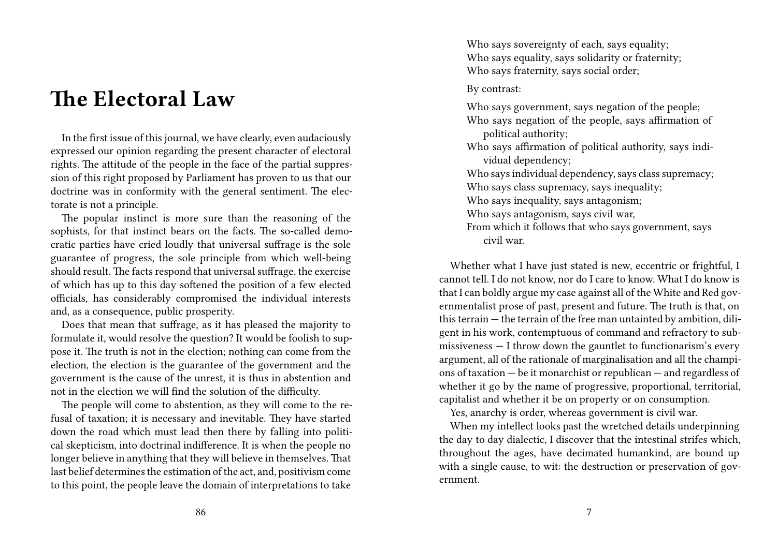## **The Electoral Law**

In the first issue of this journal, we have clearly, even audaciously expressed our opinion regarding the present character of electoral rights. The attitude of the people in the face of the partial suppression of this right proposed by Parliament has proven to us that our doctrine was in conformity with the general sentiment. The electorate is not a principle.

The popular instinct is more sure than the reasoning of the sophists, for that instinct bears on the facts. The so-called democratic parties have cried loudly that universal suffrage is the sole guarantee of progress, the sole principle from which well-being should result. The facts respond that universal suffrage, the exercise of which has up to this day softened the position of a few elected officials, has considerably compromised the individual interests and, as a consequence, public prosperity.

Does that mean that suffrage, as it has pleased the majority to formulate it, would resolve the question? It would be foolish to suppose it. The truth is not in the election; nothing can come from the election, the election is the guarantee of the government and the government is the cause of the unrest, it is thus in abstention and not in the election we will find the solution of the difficulty.

The people will come to abstention, as they will come to the refusal of taxation; it is necessary and inevitable. They have started down the road which must lead then there by falling into political skepticism, into doctrinal indifference. It is when the people no longer believe in anything that they will believe in themselves. That last belief determines the estimation of the act, and, positivism come to this point, the people leave the domain of interpretations to take

Who says sovereignty of each, says equality; Who says equality, says solidarity or fraternity; Who says fraternity, says social order;

By contrast:

Who says government, says negation of the people; Who says negation of the people, says affirmation of political authority;

Who says affirmation of political authority, says individual dependency;

Who says individual dependency, says class supremacy;

Who says class supremacy, says inequality;

Who says inequality, says antagonism;

Who says antagonism, says civil war,

From which it follows that who says government, says civil war.

Whether what I have just stated is new, eccentric or frightful, I cannot tell. I do not know, nor do I care to know. What I do know is that I can boldly argue my case against all of the White and Red governmentalist prose of past, present and future. The truth is that, on this terrain — the terrain of the free man untainted by ambition, diligent in his work, contemptuous of command and refractory to submissiveness — I throw down the gauntlet to functionarism's every argument, all of the rationale of marginalisation and all the champions of taxation — be it monarchist or republican — and regardless of whether it go by the name of progressive, proportional, territorial, capitalist and whether it be on property or on consumption.

Yes, anarchy is order, whereas government is civil war.

When my intellect looks past the wretched details underpinning the day to day dialectic, I discover that the intestinal strifes which, throughout the ages, have decimated humankind, are bound up with a single cause, to wit: the destruction or preservation of government.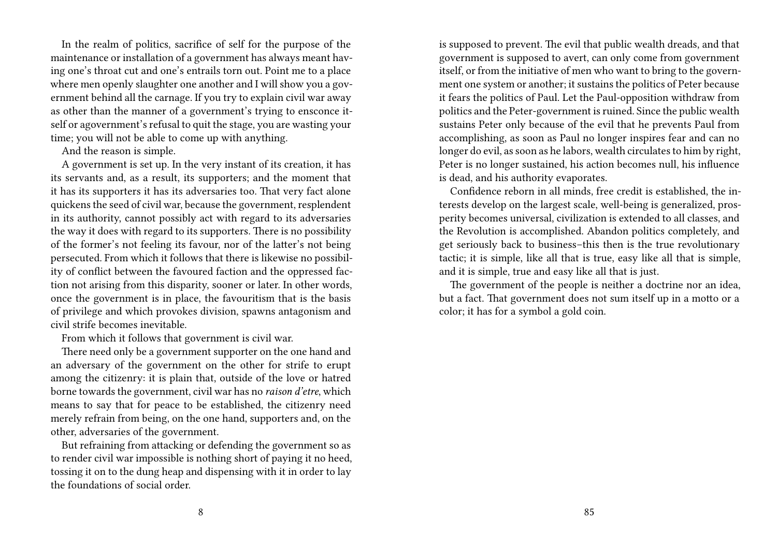In the realm of politics, sacrifice of self for the purpose of the maintenance or installation of a government has always meant having one's throat cut and one's entrails torn out. Point me to a place where men openly slaughter one another and I will show you a government behind all the carnage. If you try to explain civil war away as other than the manner of a government's trying to ensconce itself or agovernment's refusal to quit the stage, you are wasting your time; you will not be able to come up with anything.

And the reason is simple.

A government is set up. In the very instant of its creation, it has its servants and, as a result, its supporters; and the moment that it has its supporters it has its adversaries too. That very fact alone quickens the seed of civil war, because the government, resplendent in its authority, cannot possibly act with regard to its adversaries the way it does with regard to its supporters. There is no possibility of the former's not feeling its favour, nor of the latter's not being persecuted. From which it follows that there is likewise no possibility of conflict between the favoured faction and the oppressed faction not arising from this disparity, sooner or later. In other words, once the government is in place, the favouritism that is the basis of privilege and which provokes division, spawns antagonism and civil strife becomes inevitable.

From which it follows that government is civil war.

There need only be a government supporter on the one hand and an adversary of the government on the other for strife to erupt among the citizenry: it is plain that, outside of the love or hatred borne towards the government, civil war has no *raison d'etre*, which means to say that for peace to be established, the citizenry need merely refrain from being, on the one hand, supporters and, on the other, adversaries of the government.

But refraining from attacking or defending the government so as to render civil war impossible is nothing short of paying it no heed, tossing it on to the dung heap and dispensing with it in order to lay the foundations of social order.

is supposed to prevent. The evil that public wealth dreads, and that government is supposed to avert, can only come from government itself, or from the initiative of men who want to bring to the government one system or another; it sustains the politics of Peter because it fears the politics of Paul. Let the Paul-opposition withdraw from politics and the Peter-government is ruined. Since the public wealth sustains Peter only because of the evil that he prevents Paul from accomplishing, as soon as Paul no longer inspires fear and can no longer do evil, as soon as he labors, wealth circulates to him by right, Peter is no longer sustained, his action becomes null, his influence is dead, and his authority evaporates.

Confidence reborn in all minds, free credit is established, the interests develop on the largest scale, well-being is generalized, prosperity becomes universal, civilization is extended to all classes, and the Revolution is accomplished. Abandon politics completely, and get seriously back to business–this then is the true revolutionary tactic; it is simple, like all that is true, easy like all that is simple, and it is simple, true and easy like all that is just.

The government of the people is neither a doctrine nor an idea, but a fact. That government does not sum itself up in a motto or a color; it has for a symbol a gold coin.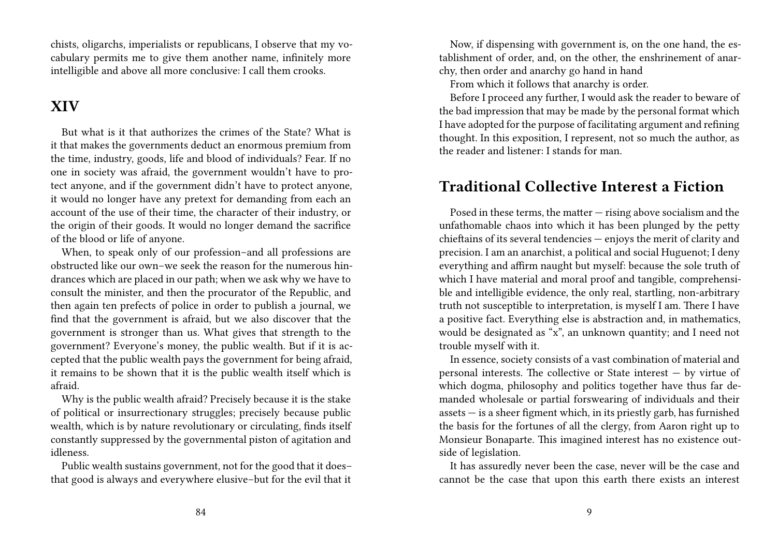chists, oligarchs, imperialists or republicans, I observe that my vocabulary permits me to give them another name, infinitely more intelligible and above all more conclusive: I call them crooks.

### **XIV**

But what is it that authorizes the crimes of the State? What is it that makes the governments deduct an enormous premium from the time, industry, goods, life and blood of individuals? Fear. If no one in society was afraid, the government wouldn't have to protect anyone, and if the government didn't have to protect anyone, it would no longer have any pretext for demanding from each an account of the use of their time, the character of their industry, or the origin of their goods. It would no longer demand the sacrifice of the blood or life of anyone.

When, to speak only of our profession–and all professions are obstructed like our own–we seek the reason for the numerous hindrances which are placed in our path; when we ask why we have to consult the minister, and then the procurator of the Republic, and then again ten prefects of police in order to publish a journal, we find that the government is afraid, but we also discover that the government is stronger than us. What gives that strength to the government? Everyone's money, the public wealth. But if it is accepted that the public wealth pays the government for being afraid, it remains to be shown that it is the public wealth itself which is afraid.

Why is the public wealth afraid? Precisely because it is the stake of political or insurrectionary struggles; precisely because public wealth, which is by nature revolutionary or circulating, finds itself constantly suppressed by the governmental piston of agitation and idleness.

Public wealth sustains government, not for the good that it does– that good is always and everywhere elusive–but for the evil that it

Now, if dispensing with government is, on the one hand, the establishment of order, and, on the other, the enshrinement of anarchy, then order and anarchy go hand in hand

From which it follows that anarchy is order.

Before I proceed any further, I would ask the reader to beware of the bad impression that may be made by the personal format which I have adopted for the purpose of facilitating argument and refining thought. In this exposition, I represent, not so much the author, as the reader and listener: I stands for man.

#### **Traditional Collective Interest a Fiction**

Posed in these terms, the matter — rising above socialism and the unfathomable chaos into which it has been plunged by the petty chieftains of its several tendencies — enjoys the merit of clarity and precision. I am an anarchist, a political and social Huguenot; I deny everything and affirm naught but myself: because the sole truth of which I have material and moral proof and tangible, comprehensible and intelligible evidence, the only real, startling, non-arbitrary truth not susceptible to interpretation, is myself I am. There I have a positive fact. Everything else is abstraction and, in mathematics, would be designated as "x", an unknown quantity; and I need not trouble myself with it.

In essence, society consists of a vast combination of material and personal interests. The collective or State interest — by virtue of which dogma, philosophy and politics together have thus far demanded wholesale or partial forswearing of individuals and their assets — is a sheer figment which, in its priestly garb, has furnished the basis for the fortunes of all the clergy, from Aaron right up to Monsieur Bonaparte. This imagined interest has no existence outside of legislation.

It has assuredly never been the case, never will be the case and cannot be the case that upon this earth there exists an interest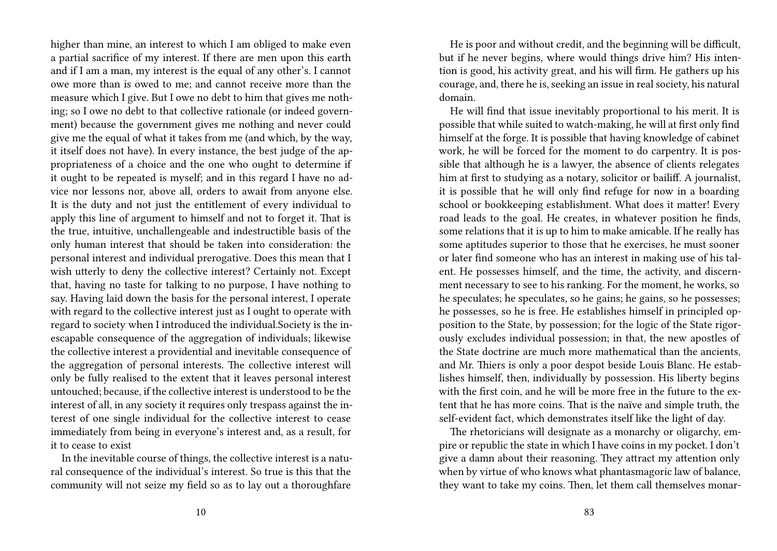higher than mine, an interest to which I am obliged to make even a partial sacrifice of my interest. If there are men upon this earth and if I am a man, my interest is the equal of any other's. I cannot owe more than is owed to me; and cannot receive more than the measure which I give. But I owe no debt to him that gives me nothing; so I owe no debt to that collective rationale (or indeed government) because the government gives me nothing and never could give me the equal of what it takes from me (and which, by the way, it itself does not have). In every instance, the best judge of the appropriateness of a choice and the one who ought to determine if it ought to be repeated is myself; and in this regard I have no advice nor lessons nor, above all, orders to await from anyone else. It is the duty and not just the entitlement of every individual to apply this line of argument to himself and not to forget it. That is the true, intuitive, unchallengeable and indestructible basis of the only human interest that should be taken into consideration: the personal interest and individual prerogative. Does this mean that I wish utterly to deny the collective interest? Certainly not. Except that, having no taste for talking to no purpose, I have nothing to say. Having laid down the basis for the personal interest, I operate with regard to the collective interest just as I ought to operate with regard to society when I introduced the individual.Society is the inescapable consequence of the aggregation of individuals; likewise the collective interest a providential and inevitable consequence of the aggregation of personal interests. The collective interest will only be fully realised to the extent that it leaves personal interest untouched; because, if the collective interest is understood to be the interest of all, in any society it requires only trespass against the interest of one single individual for the collective interest to cease immediately from being in everyone's interest and, as a result, for it to cease to exist

In the inevitable course of things, the collective interest is a natural consequence of the individual's interest. So true is this that the community will not seize my field so as to lay out a thoroughfare

He is poor and without credit, and the beginning will be difficult, but if he never begins, where would things drive him? His intention is good, his activity great, and his will firm. He gathers up his courage, and, there he is, seeking an issue in real society, his natural domain.

He will find that issue inevitably proportional to his merit. It is possible that while suited to watch-making, he will at first only find himself at the forge. It is possible that having knowledge of cabinet work, he will be forced for the moment to do carpentry. It is possible that although he is a lawyer, the absence of clients relegates him at first to studying as a notary, solicitor or bailiff. A journalist, it is possible that he will only find refuge for now in a boarding school or bookkeeping establishment. What does it matter! Every road leads to the goal. He creates, in whatever position he finds, some relations that it is up to him to make amicable. If he really has some aptitudes superior to those that he exercises, he must sooner or later find someone who has an interest in making use of his talent. He possesses himself, and the time, the activity, and discernment necessary to see to his ranking. For the moment, he works, so he speculates; he speculates, so he gains; he gains, so he possesses; he possesses, so he is free. He establishes himself in principled opposition to the State, by possession; for the logic of the State rigorously excludes individual possession; in that, the new apostles of the State doctrine are much more mathematical than the ancients, and Mr. Thiers is only a poor despot beside Louis Blanc. He establishes himself, then, individually by possession. His liberty begins with the first coin, and he will be more free in the future to the extent that he has more coins. That is the naïve and simple truth, the self-evident fact, which demonstrates itself like the light of day.

The rhetoricians will designate as a monarchy or oligarchy, empire or republic the state in which I have coins in my pocket. I don't give a damn about their reasoning. They attract my attention only when by virtue of who knows what phantasmagoric law of balance, they want to take my coins. Then, let them call themselves monar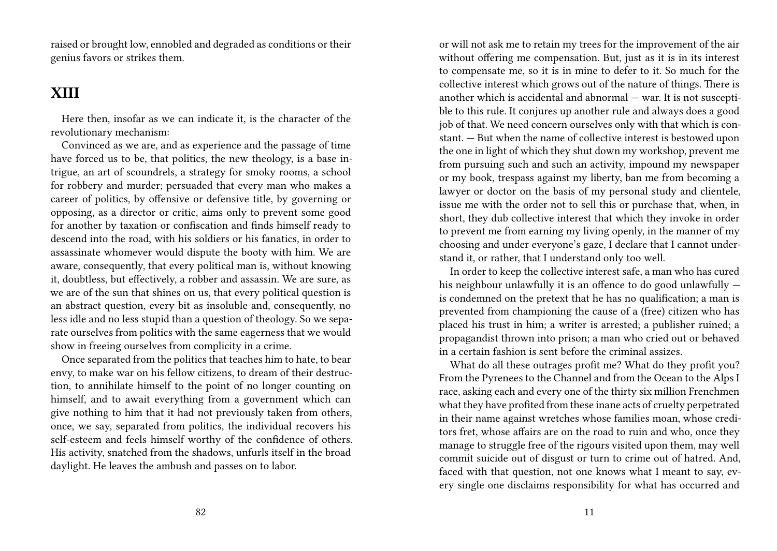raised or brought low, ennobled and degraded as conditions or their genius favors or strikes them.

#### **XIII**

Here then, insofar as we can indicate it, is the character of the revolutionary mechanism:

Convinced as we are, and as experience and the passage of time have forced us to be, that politics, the new theology, is a base intrigue, an art of scoundrels, a strategy for smoky rooms, a school for robbery and murder; persuaded that every man who makes a career of politics, by offensive or defensive title, by governing or opposing, as a director or critic, aims only to prevent some good for another by taxation or confiscation and finds himself ready to descend into the road, with his soldiers or his fanatics, in order to assassinate whomever would dispute the booty with him. We are aware, consequently, that every political man is, without knowing it, doubtless, but effectively, a robber and assassin. We are sure, as we are of the sun that shines on us, that every political question is an abstract question, every bit as insoluble and, consequently, no less idle and no less stupid than a question of theology. So we separate ourselves from politics with the same eagerness that we would show in freeing ourselves from complicity in a crime.

Once separated from the politics that teaches him to hate, to bear envy, to make war on his fellow citizens, to dream of their destruction, to annihilate himself to the point of no longer counting on himself, and to await everything from a government which can give nothing to him that it had not previously taken from others, once, we say, separated from politics, the individual recovers his self-esteem and feels himself worthy of the confidence of others. His activity, snatched from the shadows, unfurls itself in the broad daylight. He leaves the ambush and passes on to labor.

or will not ask me to retain my trees for the improvement of the air without offering me compensation. But, just as it is in its interest to compensate me, so it is in mine to defer to it. So much for the collective interest which grows out of the nature of things. There is another which is accidental and abnormal — war. It is not susceptible to this rule. It conjures up another rule and always does a good job of that. We need concern ourselves only with that which is constant. — But when the name of collective interest is bestowed upon the one in light of which they shut down my workshop, prevent me from pursuing such and such an activity, impound my newspaper or my book, trespass against my liberty, ban me from becoming a lawyer or doctor on the basis of my personal study and clientele, issue me with the order not to sell this or purchase that, when, in short, they dub collective interest that which they invoke in order to prevent me from earning my living openly, in the manner of my choosing and under everyone's gaze, I declare that I cannot understand it, or rather, that I understand only too well.

In order to keep the collective interest safe, a man who has cured his neighbour unlawfully it is an offence to do good unlawfully is condemned on the pretext that he has no qualification; a man is prevented from championing the cause of a (free) citizen who has placed his trust in him; a writer is arrested; a publisher ruined; a propagandist thrown into prison; a man who cried out or behaved in a certain fashion is sent before the criminal assizes.

What do all these outrages profit me? What do they profit you? From the Pyrenees to the Channel and from the Ocean to the Alps I race, asking each and every one of the thirty six million Frenchmen what they have profited from these inane acts of cruelty perpetrated in their name against wretches whose families moan, whose creditors fret, whose affairs are on the road to ruin and who, once they manage to struggle free of the rigours visited upon them, may well commit suicide out of disgust or turn to crime out of hatred. And, faced with that question, not one knows what I meant to say, every single one disclaims responsibility for what has occurred and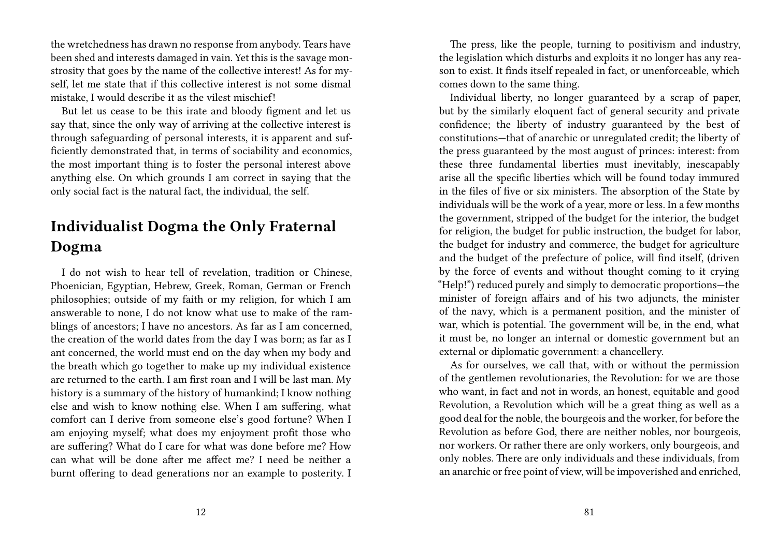the wretchedness has drawn no response from anybody. Tears have been shed and interests damaged in vain. Yet this is the savage monstrosity that goes by the name of the collective interest! As for myself, let me state that if this collective interest is not some dismal mistake, I would describe it as the vilest mischief!

But let us cease to be this irate and bloody figment and let us say that, since the only way of arriving at the collective interest is through safeguarding of personal interests, it is apparent and sufficiently demonstrated that, in terms of sociability and economics, the most important thing is to foster the personal interest above anything else. On which grounds I am correct in saying that the only social fact is the natural fact, the individual, the self.

### **Individualist Dogma the Only Fraternal Dogma**

I do not wish to hear tell of revelation, tradition or Chinese, Phoenician, Egyptian, Hebrew, Greek, Roman, German or French philosophies; outside of my faith or my religion, for which I am answerable to none, I do not know what use to make of the ramblings of ancestors; I have no ancestors. As far as I am concerned, the creation of the world dates from the day I was born; as far as I ant concerned, the world must end on the day when my body and the breath which go together to make up my individual existence are returned to the earth. I am first roan and I will be last man. My history is a summary of the history of humankind; I know nothing else and wish to know nothing else. When I am suffering, what comfort can I derive from someone else's good fortune? When I am enjoying myself; what does my enjoyment profit those who are suffering? What do I care for what was done before me? How can what will be done after me affect me? I need be neither a burnt offering to dead generations nor an example to posterity. I

The press, like the people, turning to positivism and industry, the legislation which disturbs and exploits it no longer has any reason to exist. It finds itself repealed in fact, or unenforceable, which comes down to the same thing.

Individual liberty, no longer guaranteed by a scrap of paper, but by the similarly eloquent fact of general security and private confidence; the liberty of industry guaranteed by the best of constitutions—that of anarchic or unregulated credit; the liberty of the press guaranteed by the most august of princes: interest: from these three fundamental liberties must inevitably, inescapably arise all the specific liberties which will be found today immured in the files of five or six ministers. The absorption of the State by individuals will be the work of a year, more or less. In a few months the government, stripped of the budget for the interior, the budget for religion, the budget for public instruction, the budget for labor, the budget for industry and commerce, the budget for agriculture and the budget of the prefecture of police, will find itself, (driven by the force of events and without thought coming to it crying "Help!") reduced purely and simply to democratic proportions—the minister of foreign affairs and of his two adjuncts, the minister of the navy, which is a permanent position, and the minister of war, which is potential. The government will be, in the end, what it must be, no longer an internal or domestic government but an external or diplomatic government: a chancellery.

As for ourselves, we call that, with or without the permission of the gentlemen revolutionaries, the Revolution: for we are those who want, in fact and not in words, an honest, equitable and good Revolution, a Revolution which will be a great thing as well as a good deal for the noble, the bourgeois and the worker, for before the Revolution as before God, there are neither nobles, nor bourgeois, nor workers. Or rather there are only workers, only bourgeois, and only nobles. There are only individuals and these individuals, from an anarchic or free point of view, will be impoverished and enriched,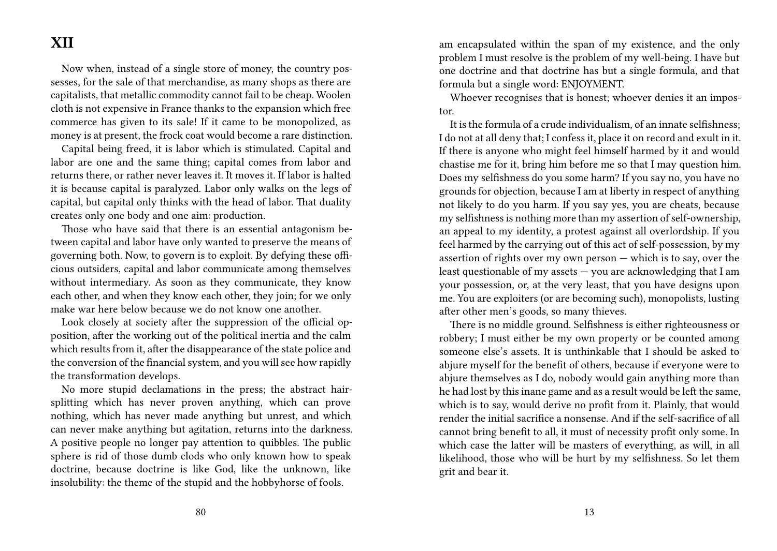### **XII**

Now when, instead of a single store of money, the country possesses, for the sale of that merchandise, as many shops as there are capitalists, that metallic commodity cannot fail to be cheap. Woolen cloth is not expensive in France thanks to the expansion which free commerce has given to its sale! If it came to be monopolized, as money is at present, the frock coat would become a rare distinction.

Capital being freed, it is labor which is stimulated. Capital and labor are one and the same thing; capital comes from labor and returns there, or rather never leaves it. It moves it. If labor is halted it is because capital is paralyzed. Labor only walks on the legs of capital, but capital only thinks with the head of labor. That duality creates only one body and one aim: production.

Those who have said that there is an essential antagonism between capital and labor have only wanted to preserve the means of governing both. Now, to govern is to exploit. By defying these officious outsiders, capital and labor communicate among themselves without intermediary. As soon as they communicate, they know each other, and when they know each other, they join; for we only make war here below because we do not know one another.

Look closely at society after the suppression of the official opposition, after the working out of the political inertia and the calm which results from it, after the disappearance of the state police and the conversion of the financial system, and you will see how rapidly the transformation develops.

No more stupid declamations in the press; the abstract hairsplitting which has never proven anything, which can prove nothing, which has never made anything but unrest, and which can never make anything but agitation, returns into the darkness. A positive people no longer pay attention to quibbles. The public sphere is rid of those dumb clods who only known how to speak doctrine, because doctrine is like God, like the unknown, like insolubility: the theme of the stupid and the hobbyhorse of fools.

am encapsulated within the span of my existence, and the only problem I must resolve is the problem of my well-being. I have but one doctrine and that doctrine has but a single formula, and that formula but a single word: ENJOYMENT.

Whoever recognises that is honest; whoever denies it an impostor.

It is the formula of a crude individualism, of an innate selfishness; I do not at all deny that; I confess it, place it on record and exult in it. If there is anyone who might feel himself harmed by it and would chastise me for it, bring him before me so that I may question him. Does my selfishness do you some harm? If you say no, you have no grounds for objection, because I am at liberty in respect of anything not likely to do you harm. If you say yes, you are cheats, because my selfishness is nothing more than my assertion of self-ownership, an appeal to my identity, a protest against all overlordship. If you feel harmed by the carrying out of this act of self-possession, by my assertion of rights over my own person — which is to say, over the least questionable of my assets — you are acknowledging that I am your possession, or, at the very least, that you have designs upon me. You are exploiters (or are becoming such), monopolists, lusting after other men's goods, so many thieves.

There is no middle ground. Selfishness is either righteousness or robbery; I must either be my own property or be counted among someone else's assets. It is unthinkable that I should be asked to abjure myself for the benefit of others, because if everyone were to abjure themselves as I do, nobody would gain anything more than he had lost by this inane game and as a result would be left the same, which is to say, would derive no profit from it. Plainly, that would render the initial sacrifice a nonsense. And if the self-sacrifice of all cannot bring benefit to all, it must of necessity profit only some. In which case the latter will be masters of everything, as will, in all likelihood, those who will be hurt by my selfishness. So let them grit and bear it.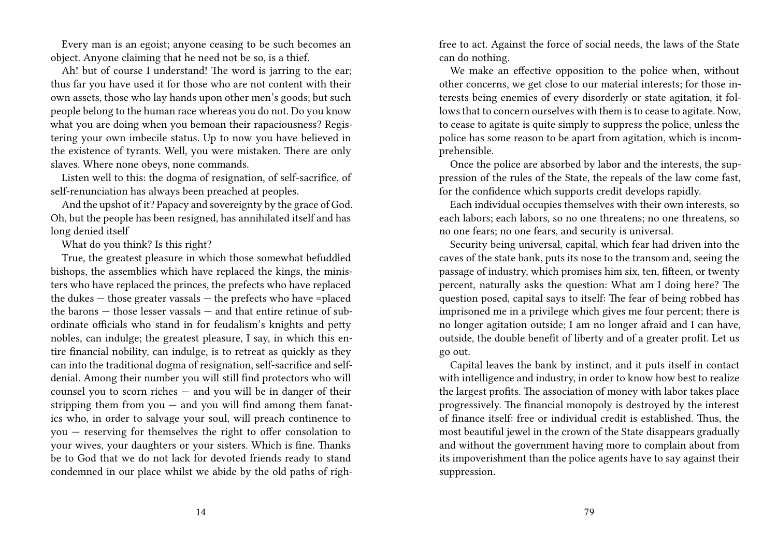Every man is an egoist; anyone ceasing to be such becomes an object. Anyone claiming that he need not be so, is a thief.

Ah! but of course I understand! The word is jarring to the ear; thus far you have used it for those who are not content with their own assets, those who lay hands upon other men's goods; but such people belong to the human race whereas you do not. Do you know what you are doing when you bemoan their rapaciousness? Registering your own imbecile status. Up to now you have believed in the existence of tyrants. Well, you were mistaken. There are only slaves. Where none obeys, none commands.

Listen well to this: the dogma of resignation, of self-sacrifice, of self-renunciation has always been preached at peoples.

And the upshot of it? Papacy and sovereignty by the grace of God. Oh, but the people has been resigned, has annihilated itself and has long denied itself

What do you think? Is this right?

True, the greatest pleasure in which those somewhat befuddled bishops, the assemblies which have replaced the kings, the ministers who have replaced the princes, the prefects who have replaced the dukes — those greater vassals — the prefects who have =placed the barons — those lesser vassals — and that entire retinue of subordinate officials who stand in for feudalism's knights and petty nobles, can indulge; the greatest pleasure, I say, in which this entire financial nobility, can indulge, is to retreat as quickly as they can into the traditional dogma of resignation, self-sacrifice and selfdenial. Among their number you will still find protectors who will counsel you to scorn riches — and you will be in danger of their stripping them from  $you$  — and you will find among them fanatics who, in order to salvage your soul, will preach continence to you — reserving for themselves the right to offer consolation to your wives, your daughters or your sisters. Which is fine. Thanks be to God that we do not lack for devoted friends ready to stand condemned in our place whilst we abide by the old paths of righfree to act. Against the force of social needs, the laws of the State can do nothing.

We make an effective opposition to the police when, without other concerns, we get close to our material interests; for those interests being enemies of every disorderly or state agitation, it follows that to concern ourselves with them is to cease to agitate. Now, to cease to agitate is quite simply to suppress the police, unless the police has some reason to be apart from agitation, which is incomprehensible.

Once the police are absorbed by labor and the interests, the suppression of the rules of the State, the repeals of the law come fast, for the confidence which supports credit develops rapidly.

Each individual occupies themselves with their own interests, so each labors; each labors, so no one threatens; no one threatens, so no one fears; no one fears, and security is universal.

Security being universal, capital, which fear had driven into the caves of the state bank, puts its nose to the transom and, seeing the passage of industry, which promises him six, ten, fifteen, or twenty percent, naturally asks the question: What am I doing here? The question posed, capital says to itself: The fear of being robbed has imprisoned me in a privilege which gives me four percent; there is no longer agitation outside; I am no longer afraid and I can have, outside, the double benefit of liberty and of a greater profit. Let us go out.

Capital leaves the bank by instinct, and it puts itself in contact with intelligence and industry, in order to know how best to realize the largest profits. The association of money with labor takes place progressively. The financial monopoly is destroyed by the interest of finance itself: free or individual credit is established. Thus, the most beautiful jewel in the crown of the State disappears gradually and without the government having more to complain about from its impoverishment than the police agents have to say against their suppression.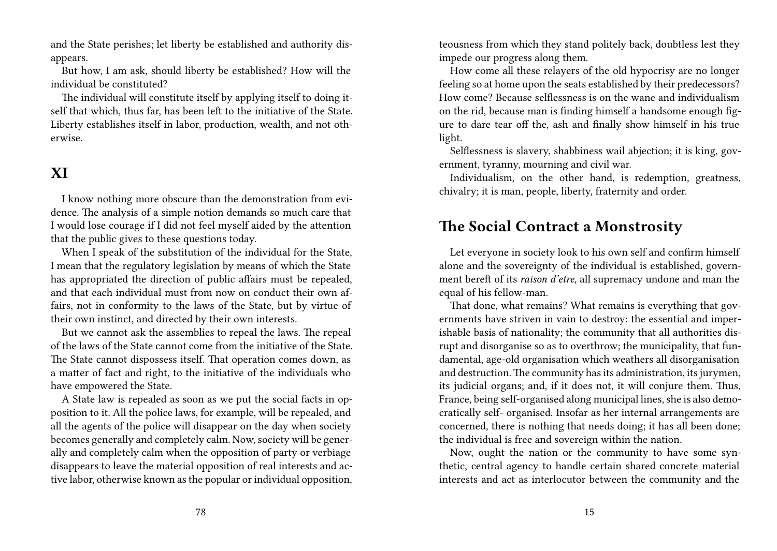and the State perishes; let liberty be established and authority disappears.

But how, I am ask, should liberty be established? How will the individual be constituted?

The individual will constitute itself by applying itself to doing itself that which, thus far, has been left to the initiative of the State. Liberty establishes itself in labor, production, wealth, and not otherwise.

### **XI**

I know nothing more obscure than the demonstration from evidence. The analysis of a simple notion demands so much care that I would lose courage if I did not feel myself aided by the attention that the public gives to these questions today.

When I speak of the substitution of the individual for the State, I mean that the regulatory legislation by means of which the State has appropriated the direction of public affairs must be repealed, and that each individual must from now on conduct their own affairs, not in conformity to the laws of the State, but by virtue of their own instinct, and directed by their own interests.

But we cannot ask the assemblies to repeal the laws. The repeal of the laws of the State cannot come from the initiative of the State. The State cannot dispossess itself. That operation comes down, as a matter of fact and right, to the initiative of the individuals who have empowered the State.

A State law is repealed as soon as we put the social facts in opposition to it. All the police laws, for example, will be repealed, and all the agents of the police will disappear on the day when society becomes generally and completely calm. Now, society will be generally and completely calm when the opposition of party or verbiage disappears to leave the material opposition of real interests and active labor, otherwise known as the popular or individual opposition,

teousness from which they stand politely back, doubtless lest they impede our progress along them.

How come all these relayers of the old hypocrisy are no longer feeling so at home upon the seats established by their predecessors? How come? Because selflessness is on the wane and individualism on the rid, because man is finding himself a handsome enough figure to dare tear off the, ash and finally show himself in his true light.

Selflessness is slavery, shabbiness wail abjection; it is king, government, tyranny, mourning and civil war.

Individualism, on the other hand, is redemption, greatness, chivalry; it is man, people, liberty, fraternity and order.

#### **The Social Contract a Monstrosity**

Let everyone in society look to his own self and confirm himself alone and the sovereignty of the individual is established, government bereft of its *raison d'etre*, all supremacy undone and man the equal of his fellow-man.

That done, what remains? What remains is everything that governments have striven in vain to destroy: the essential and imperishable basis of nationality; the community that all authorities disrupt and disorganise so as to overthrow; the municipality, that fundamental, age-old organisation which weathers all disorganisation and destruction. The community has its administration, its jurymen, its judicial organs; and, if it does not, it will conjure them. Thus, France, being self-organised along municipal lines, she is also democratically self- organised. Insofar as her internal arrangements are concerned, there is nothing that needs doing; it has all been done; the individual is free and sovereign within the nation.

Now, ought the nation or the community to have some synthetic, central agency to handle certain shared concrete material interests and act as interlocutor between the community and the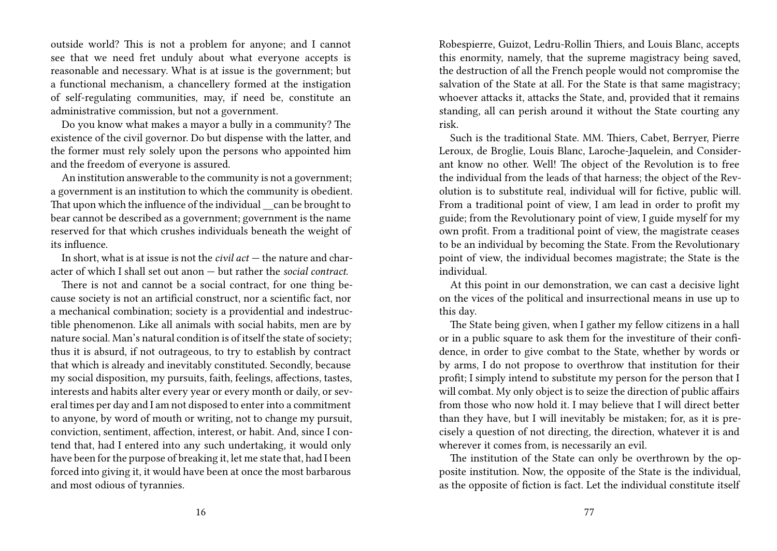outside world? This is not a problem for anyone; and I cannot see that we need fret unduly about what everyone accepts is reasonable and necessary. What is at issue is the government; but a functional mechanism, a chancellery formed at the instigation of self-regulating communities, may, if need be, constitute an administrative commission, but not a government.

Do you know what makes a mayor a bully in a community? The existence of the civil governor. Do but dispense with the latter, and the former must rely solely upon the persons who appointed him and the freedom of everyone is assured.

An institution answerable to the community is not a government; a government is an institution to which the community is obedient. That upon which the influence of the individual can be brought to bear cannot be described as a government; government is the name reserved for that which crushes individuals beneath the weight of its influence.

In short, what is at issue is not the *civil act* — the nature and character of which I shall set out anon — but rather the *social contract*.

There is not and cannot be a social contract, for one thing because society is not an artificial construct, nor a scientific fact, nor a mechanical combination; society is a providential and indestructible phenomenon. Like all animals with social habits, men are by nature social. Man's natural condition is of itself the state of society; thus it is absurd, if not outrageous, to try to establish by contract that which is already and inevitably constituted. Secondly, because my social disposition, my pursuits, faith, feelings, affections, tastes, interests and habits alter every year or every month or daily, or several times per day and I am not disposed to enter into a commitment to anyone, by word of mouth or writing, not to change my pursuit, conviction, sentiment, affection, interest, or habit. And, since I contend that, had I entered into any such undertaking, it would only have been for the purpose of breaking it, let me state that, had I been forced into giving it, it would have been at once the most barbarous and most odious of tyrannies.

Robespierre, Guizot, Ledru-Rollin Thiers, and Louis Blanc, accepts this enormity, namely, that the supreme magistracy being saved, the destruction of all the French people would not compromise the salvation of the State at all. For the State is that same magistracy; whoever attacks it, attacks the State, and, provided that it remains standing, all can perish around it without the State courting any risk.

Such is the traditional State. MM. Thiers, Cabet, Berryer, Pierre Leroux, de Broglie, Louis Blanc, Laroche-Jaquelein, and Considerant know no other. Well! The object of the Revolution is to free the individual from the leads of that harness; the object of the Revolution is to substitute real, individual will for fictive, public will. From a traditional point of view, I am lead in order to profit my guide; from the Revolutionary point of view, I guide myself for my own profit. From a traditional point of view, the magistrate ceases to be an individual by becoming the State. From the Revolutionary point of view, the individual becomes magistrate; the State is the individual.

At this point in our demonstration, we can cast a decisive light on the vices of the political and insurrectional means in use up to this day.

The State being given, when I gather my fellow citizens in a hall or in a public square to ask them for the investiture of their confidence, in order to give combat to the State, whether by words or by arms, I do not propose to overthrow that institution for their profit; I simply intend to substitute my person for the person that I will combat. My only object is to seize the direction of public affairs from those who now hold it. I may believe that I will direct better than they have, but I will inevitably be mistaken; for, as it is precisely a question of not directing, the direction, whatever it is and wherever it comes from, is necessarily an evil.

The institution of the State can only be overthrown by the opposite institution. Now, the opposite of the State is the individual, as the opposite of fiction is fact. Let the individual constitute itself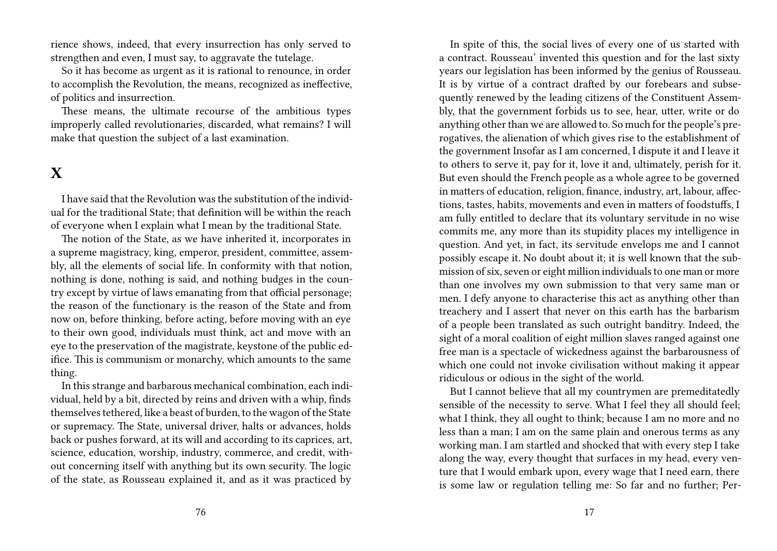rience shows, indeed, that every insurrection has only served to strengthen and even, I must say, to aggravate the tutelage.

So it has become as urgent as it is rational to renounce, in order to accomplish the Revolution, the means, recognized as ineffective, of politics and insurrection.

These means, the ultimate recourse of the ambitious types improperly called revolutionaries, discarded, what remains? I will make that question the subject of a last examination.

### **X**

I have said that the Revolution was the substitution of the individual for the traditional State; that definition will be within the reach of everyone when I explain what I mean by the traditional State.

The notion of the State, as we have inherited it, incorporates in a supreme magistracy, king, emperor, president, committee, assembly, all the elements of social life. In conformity with that notion, nothing is done, nothing is said, and nothing budges in the country except by virtue of laws emanating from that official personage; the reason of the functionary is the reason of the State and from now on, before thinking, before acting, before moving with an eye to their own good, individuals must think, act and move with an eye to the preservation of the magistrate, keystone of the public edifice. This is communism or monarchy, which amounts to the same thing.

In this strange and barbarous mechanical combination, each individual, held by a bit, directed by reins and driven with a whip, finds themselves tethered, like a beast of burden, to the wagon of the State or supremacy. The State, universal driver, halts or advances, holds back or pushes forward, at its will and according to its caprices, art, science, education, worship, industry, commerce, and credit, without concerning itself with anything but its own security. The logic of the state, as Rousseau explained it, and as it was practiced by

In spite of this, the social lives of every one of us started with a contract. Rousseau' invented this question and for the last sixty years our legislation has been informed by the genius of Rousseau. It is by virtue of a contract drafted by our forebears and subsequently renewed by the leading citizens of the Constituent Assembly, that the government forbids us to see, hear, utter, write or do anything other than we are allowed to. So much for the people's prerogatives, the alienation of which gives rise to the establishment of the government Insofar as I am concerned, I dispute it and I leave it to others to serve it, pay for it, love it and, ultimately, perish for it. But even should the French people as a whole agree to be governed in matters of education, religion, finance, industry, art, labour, affections, tastes, habits, movements and even in matters of foodstuffs, I am fully entitled to declare that its voluntary servitude in no wise commits me, any more than its stupidity places my intelligence in question. And yet, in fact, its servitude envelops me and I cannot possibly escape it. No doubt about it; it is well known that the submission of six, seven or eight million individuals to one man or more than one involves my own submission to that very same man or men. I defy anyone to characterise this act as anything other than treachery and I assert that never on this earth has the barbarism of a people been translated as such outright banditry. Indeed, the sight of a moral coalition of eight million slaves ranged against one free man is a spectacle of wickedness against the barbarousness of which one could not invoke civilisation without making it appear ridiculous or odious in the sight of the world.

But I cannot believe that all my countrymen are premeditatedly sensible of the necessity to serve. What I feel they all should feel; what I think, they all ought to think; because I am no more and no less than a man; I am on the same plain and onerous terms as any working man. I am startled and shocked that with every step I take along the way, every thought that surfaces in my head, every venture that I would embark upon, every wage that I need earn, there is some law or regulation telling me: So far and no further; Per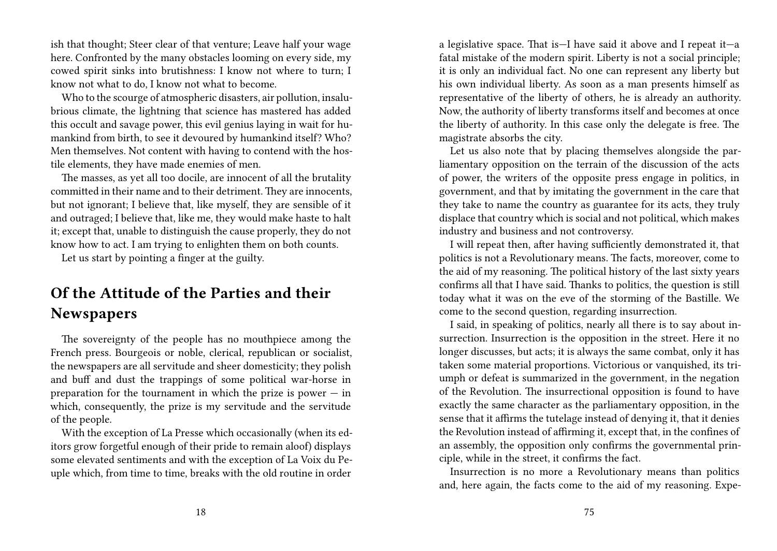ish that thought; Steer clear of that venture; Leave half your wage here. Confronted by the many obstacles looming on every side, my cowed spirit sinks into brutishness: I know not where to turn; I know not what to do, I know not what to become.

Who to the scourge of atmospheric disasters, air pollution, insalubrious climate, the lightning that science has mastered has added this occult and savage power, this evil genius laying in wait for humankind from birth, to see it devoured by humankind itself? Who? Men themselves. Not content with having to contend with the hostile elements, they have made enemies of men.

The masses, as yet all too docile, are innocent of all the brutality committed in their name and to their detriment. They are innocents, but not ignorant; I believe that, like myself, they are sensible of it and outraged; I believe that, like me, they would make haste to halt it; except that, unable to distinguish the cause properly, they do not know how to act. I am trying to enlighten them on both counts.

Let us start by pointing a finger at the guilty.

### **Of the Attitude of the Parties and their Newspapers**

The sovereignty of the people has no mouthpiece among the French press. Bourgeois or noble, clerical, republican or socialist, the newspapers are all servitude and sheer domesticity; they polish and buff and dust the trappings of some political war-horse in preparation for the tournament in which the prize is power  $-$  in which, consequently, the prize is my servitude and the servitude of the people.

With the exception of La Presse which occasionally (when its editors grow forgetful enough of their pride to remain aloof) displays some elevated sentiments and with the exception of La Voix du Peuple which, from time to time, breaks with the old routine in order

a legislative space. That is—I have said it above and I repeat it—a fatal mistake of the modern spirit. Liberty is not a social principle; it is only an individual fact. No one can represent any liberty but his own individual liberty. As soon as a man presents himself as representative of the liberty of others, he is already an authority. Now, the authority of liberty transforms itself and becomes at once the liberty of authority. In this case only the delegate is free. The magistrate absorbs the city.

Let us also note that by placing themselves alongside the parliamentary opposition on the terrain of the discussion of the acts of power, the writers of the opposite press engage in politics, in government, and that by imitating the government in the care that they take to name the country as guarantee for its acts, they truly displace that country which is social and not political, which makes industry and business and not controversy.

I will repeat then, after having sufficiently demonstrated it, that politics is not a Revolutionary means. The facts, moreover, come to the aid of my reasoning. The political history of the last sixty years confirms all that I have said. Thanks to politics, the question is still today what it was on the eve of the storming of the Bastille. We come to the second question, regarding insurrection.

I said, in speaking of politics, nearly all there is to say about insurrection. Insurrection is the opposition in the street. Here it no longer discusses, but acts; it is always the same combat, only it has taken some material proportions. Victorious or vanquished, its triumph or defeat is summarized in the government, in the negation of the Revolution. The insurrectional opposition is found to have exactly the same character as the parliamentary opposition, in the sense that it affirms the tutelage instead of denying it, that it denies the Revolution instead of affirming it, except that, in the confines of an assembly, the opposition only confirms the governmental principle, while in the street, it confirms the fact.

Insurrection is no more a Revolutionary means than politics and, here again, the facts come to the aid of my reasoning. Expe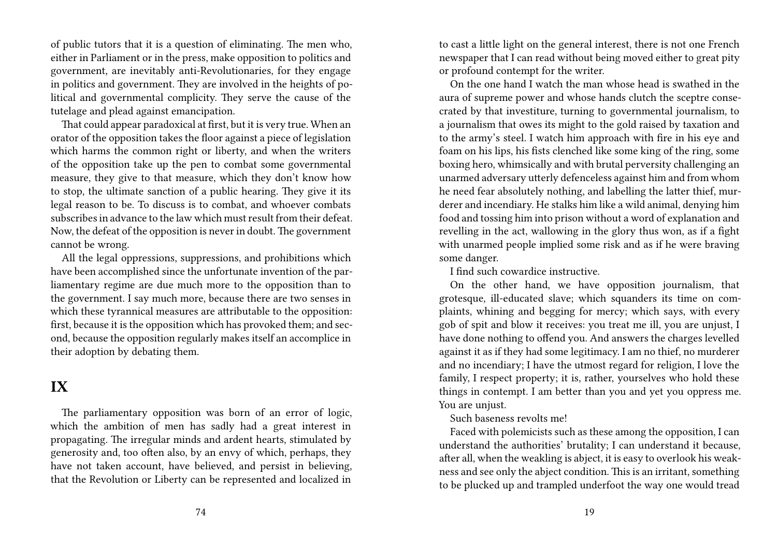of public tutors that it is a question of eliminating. The men who, either in Parliament or in the press, make opposition to politics and government, are inevitably anti-Revolutionaries, for they engage in politics and government. They are involved in the heights of political and governmental complicity. They serve the cause of the tutelage and plead against emancipation.

That could appear paradoxical at first, but it is very true. When an orator of the opposition takes the floor against a piece of legislation which harms the common right or liberty, and when the writers of the opposition take up the pen to combat some governmental measure, they give to that measure, which they don't know how to stop, the ultimate sanction of a public hearing. They give it its legal reason to be. To discuss is to combat, and whoever combats subscribes in advance to the law which must result from their defeat. Now, the defeat of the opposition is never in doubt. The government cannot be wrong.

All the legal oppressions, suppressions, and prohibitions which have been accomplished since the unfortunate invention of the parliamentary regime are due much more to the opposition than to the government. I say much more, because there are two senses in which these tyrannical measures are attributable to the opposition: first, because it is the opposition which has provoked them; and second, because the opposition regularly makes itself an accomplice in their adoption by debating them.

### **IX**

The parliamentary opposition was born of an error of logic, which the ambition of men has sadly had a great interest in propagating. The irregular minds and ardent hearts, stimulated by generosity and, too often also, by an envy of which, perhaps, they have not taken account, have believed, and persist in believing, that the Revolution or Liberty can be represented and localized in

to cast a little light on the general interest, there is not one French newspaper that I can read without being moved either to great pity or profound contempt for the writer.

On the one hand I watch the man whose head is swathed in the aura of supreme power and whose hands clutch the sceptre consecrated by that investiture, turning to governmental journalism, to a journalism that owes its might to the gold raised by taxation and to the army's steel. I watch him approach with fire in his eye and foam on his lips, his fists clenched like some king of the ring, some boxing hero, whimsically and with brutal perversity challenging an unarmed adversary utterly defenceless against him and from whom he need fear absolutely nothing, and labelling the latter thief, murderer and incendiary. He stalks him like a wild animal, denying him food and tossing him into prison without a word of explanation and revelling in the act, wallowing in the glory thus won, as if a fight with unarmed people implied some risk and as if he were braving some danger.

I find such cowardice instructive.

On the other hand, we have opposition journalism, that grotesque, ill-educated slave; which squanders its time on complaints, whining and begging for mercy; which says, with every gob of spit and blow it receives: you treat me ill, you are unjust, I have done nothing to offend you. And answers the charges levelled against it as if they had some legitimacy. I am no thief, no murderer and no incendiary; I have the utmost regard for religion, I love the family, I respect property; it is, rather, yourselves who hold these things in contempt. I am better than you and yet you oppress me. You are unjust.

Such baseness revolts me!

Faced with polemicists such as these among the opposition, I can understand the authorities' brutality; I can understand it because, after all, when the weakling is abject, it is easy to overlook his weakness and see only the abject condition. This is an irritant, something to be plucked up and trampled underfoot the way one would tread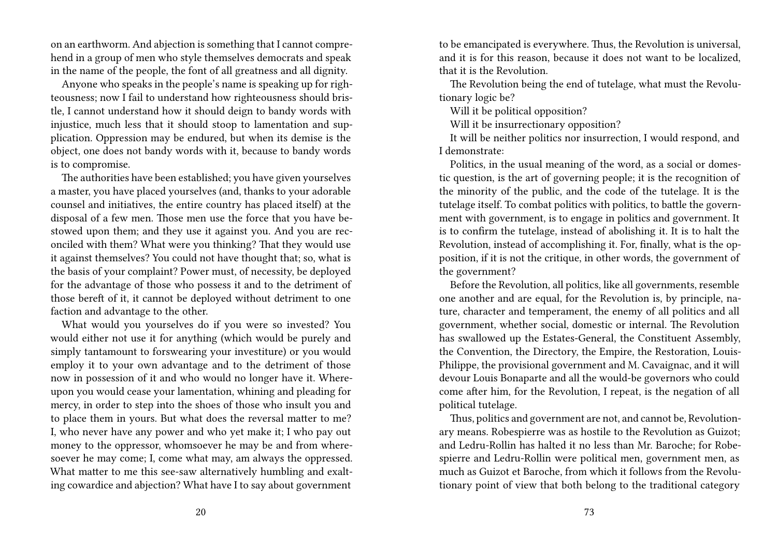on an earthworm. And abjection is something that I cannot comprehend in a group of men who style themselves democrats and speak in the name of the people, the font of all greatness and all dignity.

Anyone who speaks in the people's name is speaking up for righteousness; now I fail to understand how righteousness should bristle, I cannot understand how it should deign to bandy words with injustice, much less that it should stoop to lamentation and supplication. Oppression may be endured, but when its demise is the object, one does not bandy words with it, because to bandy words is to compromise.

The authorities have been established; you have given yourselves a master, you have placed yourselves (and, thanks to your adorable counsel and initiatives, the entire country has placed itself) at the disposal of a few men. Those men use the force that you have bestowed upon them; and they use it against you. And you are reconciled with them? What were you thinking? That they would use it against themselves? You could not have thought that; so, what is the basis of your complaint? Power must, of necessity, be deployed for the advantage of those who possess it and to the detriment of those bereft of it, it cannot be deployed without detriment to one faction and advantage to the other.

What would you yourselves do if you were so invested? You would either not use it for anything (which would be purely and simply tantamount to forswearing your investiture) or you would employ it to your own advantage and to the detriment of those now in possession of it and who would no longer have it. Whereupon you would cease your lamentation, whining and pleading for mercy, in order to step into the shoes of those who insult you and to place them in yours. But what does the reversal matter to me? I, who never have any power and who yet make it; I who pay out money to the oppressor, whomsoever he may be and from wheresoever he may come; I, come what may, am always the oppressed. What matter to me this see-saw alternatively humbling and exalting cowardice and abjection? What have I to say about government

to be emancipated is everywhere. Thus, the Revolution is universal, and it is for this reason, because it does not want to be localized, that it is the Revolution.

The Revolution being the end of tutelage, what must the Revolutionary logic be?

Will it be political opposition?

Will it be insurrectionary opposition?

It will be neither politics nor insurrection, I would respond, and I demonstrate:

Politics, in the usual meaning of the word, as a social or domestic question, is the art of governing people; it is the recognition of the minority of the public, and the code of the tutelage. It is the tutelage itself. To combat politics with politics, to battle the government with government, is to engage in politics and government. It is to confirm the tutelage, instead of abolishing it. It is to halt the Revolution, instead of accomplishing it. For, finally, what is the opposition, if it is not the critique, in other words, the government of the government?

Before the Revolution, all politics, like all governments, resemble one another and are equal, for the Revolution is, by principle, nature, character and temperament, the enemy of all politics and all government, whether social, domestic or internal. The Revolution has swallowed up the Estates-General, the Constituent Assembly, the Convention, the Directory, the Empire, the Restoration, Louis-Philippe, the provisional government and M. Cavaignac, and it will devour Louis Bonaparte and all the would-be governors who could come after him, for the Revolution, I repeat, is the negation of all political tutelage.

Thus, politics and government are not, and cannot be, Revolutionary means. Robespierre was as hostile to the Revolution as Guizot; and Ledru-Rollin has halted it no less than Mr. Baroche; for Robespierre and Ledru-Rollin were political men, government men, as much as Guizot et Baroche, from which it follows from the Revolutionary point of view that both belong to the traditional category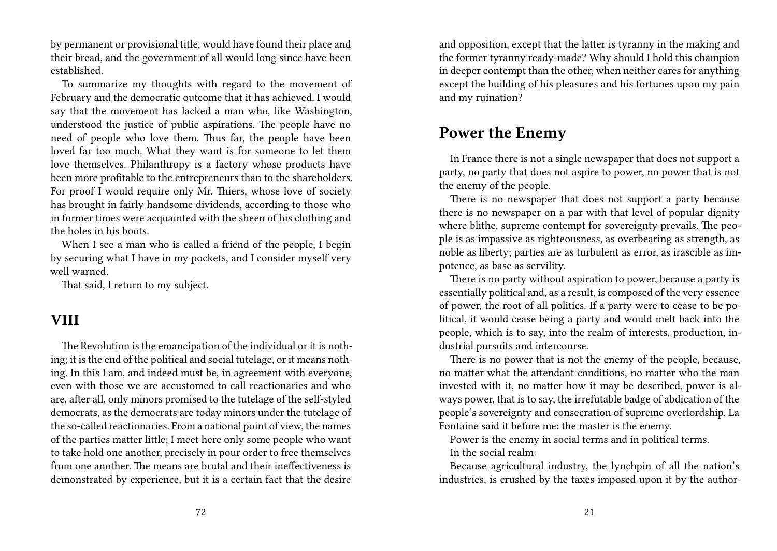by permanent or provisional title, would have found their place and their bread, and the government of all would long since have been established.

To summarize my thoughts with regard to the movement of February and the democratic outcome that it has achieved, I would say that the movement has lacked a man who, like Washington, understood the justice of public aspirations. The people have no need of people who love them. Thus far, the people have been loved far too much. What they want is for someone to let them love themselves. Philanthropy is a factory whose products have been more profitable to the entrepreneurs than to the shareholders. For proof I would require only Mr. Thiers, whose love of society has brought in fairly handsome dividends, according to those who in former times were acquainted with the sheen of his clothing and the holes in his boots.

When I see a man who is called a friend of the people, I begin by securing what I have in my pockets, and I consider myself very well warned.

That said, I return to my subject.

#### **VIII**

The Revolution is the emancipation of the individual or it is nothing; it is the end of the political and social tutelage, or it means nothing. In this I am, and indeed must be, in agreement with everyone, even with those we are accustomed to call reactionaries and who are, after all, only minors promised to the tutelage of the self-styled democrats, as the democrats are today minors under the tutelage of the so-called reactionaries. From a national point of view, the names of the parties matter little; I meet here only some people who want to take hold one another, precisely in pour order to free themselves from one another. The means are brutal and their ineffectiveness is demonstrated by experience, but it is a certain fact that the desire

and opposition, except that the latter is tyranny in the making and the former tyranny ready-made? Why should I hold this champion in deeper contempt than the other, when neither cares for anything except the building of his pleasures and his fortunes upon my pain and my ruination?

#### **Power the Enemy**

In France there is not a single newspaper that does not support a party, no party that does not aspire to power, no power that is not the enemy of the people.

There is no newspaper that does not support a party because there is no newspaper on a par with that level of popular dignity where blithe, supreme contempt for sovereignty prevails. The people is as impassive as righteousness, as overbearing as strength, as noble as liberty; parties are as turbulent as error, as irascible as impotence, as base as servility.

There is no party without aspiration to power, because a party is essentially political and, as a result, is composed of the very essence of power, the root of all politics. If a party were to cease to be political, it would cease being a party and would melt back into the people, which is to say, into the realm of interests, production, industrial pursuits and intercourse.

There is no power that is not the enemy of the people, because, no matter what the attendant conditions, no matter who the man invested with it, no matter how it may be described, power is always power, that is to say, the irrefutable badge of abdication of the people's sovereignty and consecration of supreme overlordship. La Fontaine said it before me: the master is the enemy.

Power is the enemy in social terms and in political terms. In the social realm:

Because agricultural industry, the lynchpin of all the nation's industries, is crushed by the taxes imposed upon it by the author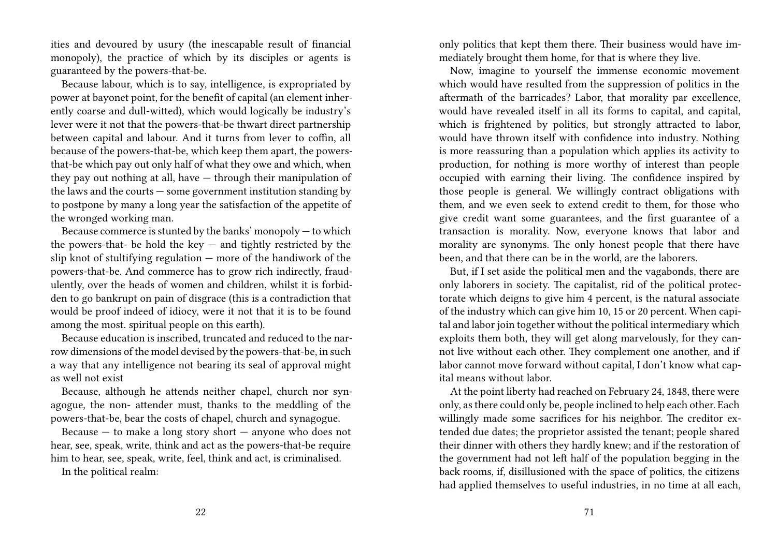ities and devoured by usury (the inescapable result of financial monopoly), the practice of which by its disciples or agents is guaranteed by the powers-that-be.

Because labour, which is to say, intelligence, is expropriated by power at bayonet point, for the benefit of capital (an element inherently coarse and dull-witted), which would logically be industry's lever were it not that the powers-that-be thwart direct partnership between capital and labour. And it turns from lever to coffin, all because of the powers-that-be, which keep them apart, the powersthat-be which pay out only half of what they owe and which, when they pay out nothing at all, have — through their manipulation of the laws and the courts  $-$  some government institution standing by to postpone by many a long year the satisfaction of the appetite of the wronged working man.

Because commerce is stunted by the banks' monopoly — to which the powers-that- be hold the key  $-$  and tightly restricted by the slip knot of stultifying regulation — more of the handiwork of the powers-that-be. And commerce has to grow rich indirectly, fraudulently, over the heads of women and children, whilst it is forbidden to go bankrupt on pain of disgrace (this is a contradiction that would be proof indeed of idiocy, were it not that it is to be found among the most. spiritual people on this earth).

Because education is inscribed, truncated and reduced to the narrow dimensions of the model devised by the powers-that-be, in such a way that any intelligence not bearing its seal of approval might as well not exist

Because, although he attends neither chapel, church nor synagogue, the non- attender must, thanks to the meddling of the powers-that-be, bear the costs of chapel, church and synagogue.

Because  $-$  to make a long story short  $-$  anyone who does not hear, see, speak, write, think and act as the powers-that-be require him to hear, see, speak, write, feel, think and act, is criminalised. In the political realm:

only politics that kept them there. Their business would have immediately brought them home, for that is where they live.

Now, imagine to yourself the immense economic movement which would have resulted from the suppression of politics in the aftermath of the barricades? Labor, that morality par excellence, would have revealed itself in all its forms to capital, and capital, which is frightened by politics, but strongly attracted to labor, would have thrown itself with confidence into industry. Nothing is more reassuring than a population which applies its activity to production, for nothing is more worthy of interest than people occupied with earning their living. The confidence inspired by those people is general. We willingly contract obligations with them, and we even seek to extend credit to them, for those who give credit want some guarantees, and the first guarantee of a transaction is morality. Now, everyone knows that labor and morality are synonyms. The only honest people that there have been, and that there can be in the world, are the laborers.

But, if I set aside the political men and the vagabonds, there are only laborers in society. The capitalist, rid of the political protectorate which deigns to give him 4 percent, is the natural associate of the industry which can give him 10, 15 or 20 percent. When capital and labor join together without the political intermediary which exploits them both, they will get along marvelously, for they cannot live without each other. They complement one another, and if labor cannot move forward without capital, I don't know what capital means without labor.

At the point liberty had reached on February 24, 1848, there were only, as there could only be, people inclined to help each other. Each willingly made some sacrifices for his neighbor. The creditor extended due dates; the proprietor assisted the tenant; people shared their dinner with others they hardly knew; and if the restoration of the government had not left half of the population begging in the back rooms, if, disillusioned with the space of politics, the citizens had applied themselves to useful industries, in no time at all each,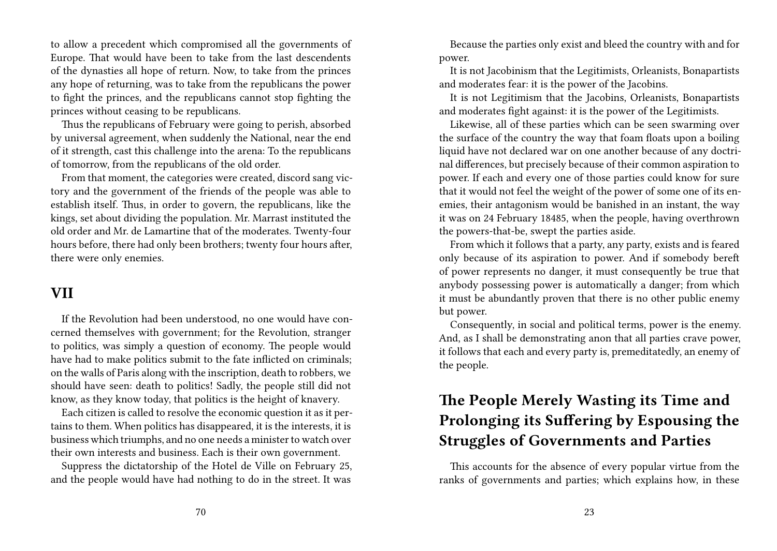to allow a precedent which compromised all the governments of Europe. That would have been to take from the last descendents of the dynasties all hope of return. Now, to take from the princes any hope of returning, was to take from the republicans the power to fight the princes, and the republicans cannot stop fighting the princes without ceasing to be republicans.

Thus the republicans of February were going to perish, absorbed by universal agreement, when suddenly the National, near the end of it strength, cast this challenge into the arena: To the republicans of tomorrow, from the republicans of the old order.

From that moment, the categories were created, discord sang victory and the government of the friends of the people was able to establish itself. Thus, in order to govern, the republicans, like the kings, set about dividing the population. Mr. Marrast instituted the old order and Mr. de Lamartine that of the moderates. Twenty-four hours before, there had only been brothers; twenty four hours after, there were only enemies.

#### **VII**

If the Revolution had been understood, no one would have concerned themselves with government; for the Revolution, stranger to politics, was simply a question of economy. The people would have had to make politics submit to the fate inflicted on criminals; on the walls of Paris along with the inscription, death to robbers, we should have seen: death to politics! Sadly, the people still did not know, as they know today, that politics is the height of knavery.

Each citizen is called to resolve the economic question it as it pertains to them. When politics has disappeared, it is the interests, it is business which triumphs, and no one needs a minister to watch over their own interests and business. Each is their own government.

Suppress the dictatorship of the Hotel de Ville on February 25, and the people would have had nothing to do in the street. It was

Because the parties only exist and bleed the country with and for power.

It is not Jacobinism that the Legitimists, Orleanists, Bonapartists and moderates fear: it is the power of the Jacobins.

It is not Legitimism that the Jacobins, Orleanists, Bonapartists and moderates fight against: it is the power of the Legitimists.

Likewise, all of these parties which can be seen swarming over the surface of the country the way that foam floats upon a boiling liquid have not declared war on one another because of any doctrinal differences, but precisely because of their common aspiration to power. If each and every one of those parties could know for sure that it would not feel the weight of the power of some one of its enemies, their antagonism would be banished in an instant, the way it was on 24 February 18485, when the people, having overthrown the powers-that-be, swept the parties aside.

From which it follows that a party, any party, exists and is feared only because of its aspiration to power. And if somebody bereft of power represents no danger, it must consequently be true that anybody possessing power is automatically a danger; from which it must be abundantly proven that there is no other public enemy but power.

Consequently, in social and political terms, power is the enemy. And, as I shall be demonstrating anon that all parties crave power, it follows that each and every party is, premeditatedly, an enemy of the people.

### **The People Merely Wasting its Time and Prolonging its Suffering by Espousing the Struggles of Governments and Parties**

This accounts for the absence of every popular virtue from the ranks of governments and parties; which explains how, in these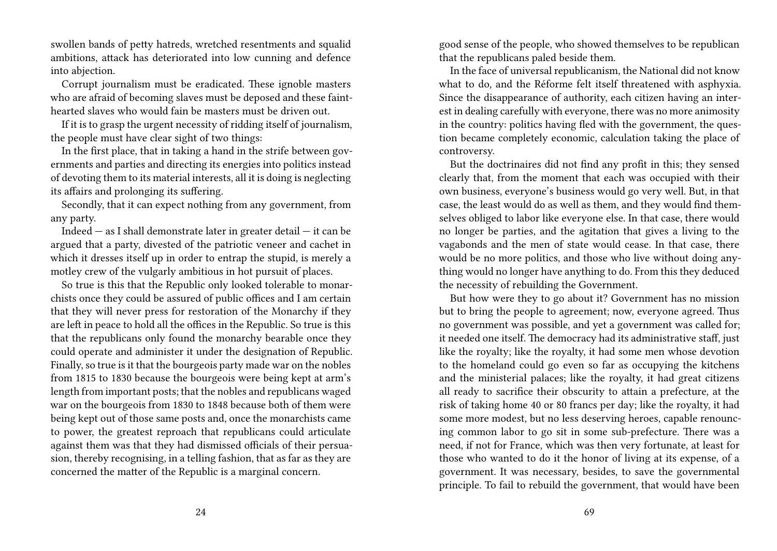swollen bands of petty hatreds, wretched resentments and squalid ambitions, attack has deteriorated into low cunning and defence into abjection.

Corrupt journalism must be eradicated. These ignoble masters who are afraid of becoming slaves must be deposed and these fainthearted slaves who would fain be masters must be driven out.

If it is to grasp the urgent necessity of ridding itself of journalism, the people must have clear sight of two things:

In the first place, that in taking a hand in the strife between governments and parties and directing its energies into politics instead of devoting them to its material interests, all it is doing is neglecting its affairs and prolonging its suffering.

Secondly, that it can expect nothing from any government, from any party.

Indeed  $-$  as I shall demonstrate later in greater detail  $-$  it can be argued that a party, divested of the patriotic veneer and cachet in which it dresses itself up in order to entrap the stupid, is merely a motley crew of the vulgarly ambitious in hot pursuit of places.

So true is this that the Republic only looked tolerable to monarchists once they could be assured of public offices and I am certain that they will never press for restoration of the Monarchy if they are left in peace to hold all the offices in the Republic. So true is this that the republicans only found the monarchy bearable once they could operate and administer it under the designation of Republic. Finally, so true is it that the bourgeois party made war on the nobles from 1815 to 1830 because the bourgeois were being kept at arm's length from important posts; that the nobles and republicans waged war on the bourgeois from 1830 to 1848 because both of them were being kept out of those same posts and, once the monarchists came to power, the greatest reproach that republicans could articulate against them was that they had dismissed officials of their persuasion, thereby recognising, in a telling fashion, that as far as they are concerned the matter of the Republic is a marginal concern.

good sense of the people, who showed themselves to be republican that the republicans paled beside them.

In the face of universal republicanism, the National did not know what to do, and the Réforme felt itself threatened with asphyxia. Since the disappearance of authority, each citizen having an interest in dealing carefully with everyone, there was no more animosity in the country: politics having fled with the government, the question became completely economic, calculation taking the place of controversy.

But the doctrinaires did not find any profit in this; they sensed clearly that, from the moment that each was occupied with their own business, everyone's business would go very well. But, in that case, the least would do as well as them, and they would find themselves obliged to labor like everyone else. In that case, there would no longer be parties, and the agitation that gives a living to the vagabonds and the men of state would cease. In that case, there would be no more politics, and those who live without doing anything would no longer have anything to do. From this they deduced the necessity of rebuilding the Government.

But how were they to go about it? Government has no mission but to bring the people to agreement; now, everyone agreed. Thus no government was possible, and yet a government was called for; it needed one itself. The democracy had its administrative staff, just like the royalty; like the royalty, it had some men whose devotion to the homeland could go even so far as occupying the kitchens and the ministerial palaces; like the royalty, it had great citizens all ready to sacrifice their obscurity to attain a prefecture, at the risk of taking home 40 or 80 francs per day; like the royalty, it had some more modest, but no less deserving heroes, capable renouncing common labor to go sit in some sub-prefecture. There was a need, if not for France, which was then very fortunate, at least for those who wanted to do it the honor of living at its expense, of a government. It was necessary, besides, to save the governmental principle. To fail to rebuild the government, that would have been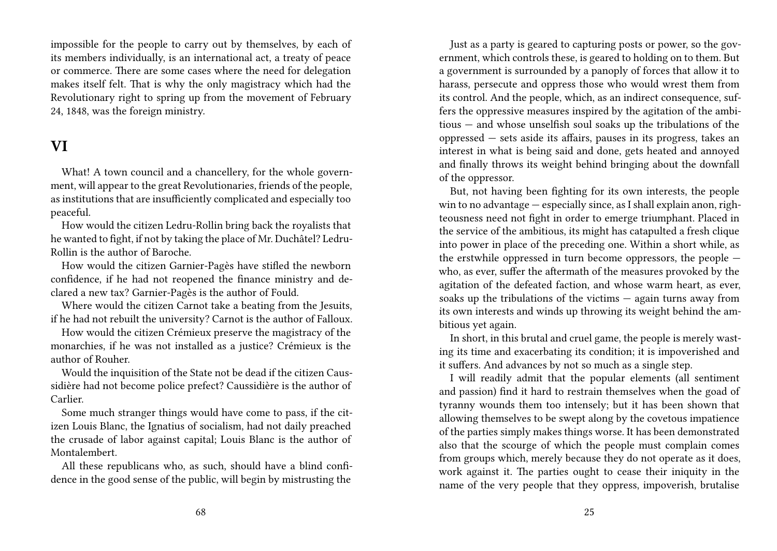impossible for the people to carry out by themselves, by each of its members individually, is an international act, a treaty of peace or commerce. There are some cases where the need for delegation makes itself felt. That is why the only magistracy which had the Revolutionary right to spring up from the movement of February 24, 1848, was the foreign ministry.

### **VI**

What! A town council and a chancellery, for the whole government, will appear to the great Revolutionaries, friends of the people, as institutions that are insufficiently complicated and especially too peaceful.

How would the citizen Ledru-Rollin bring back the royalists that he wanted to fight, if not by taking the place of Mr. Duchâtel? Ledru-Rollin is the author of Baroche.

How would the citizen Garnier-Pagès have stifled the newborn confidence, if he had not reopened the finance ministry and declared a new tax? Garnier-Pagès is the author of Fould.

Where would the citizen Carnot take a beating from the Jesuits, if he had not rebuilt the university? Carnot is the author of Falloux.

How would the citizen Crémieux preserve the magistracy of the monarchies, if he was not installed as a justice? Crémieux is the author of Rouher.

Would the inquisition of the State not be dead if the citizen Caussidière had not become police prefect? Caussidière is the author of Carlier.

Some much stranger things would have come to pass, if the citizen Louis Blanc, the Ignatius of socialism, had not daily preached the crusade of labor against capital; Louis Blanc is the author of Montalembert.

All these republicans who, as such, should have a blind confidence in the good sense of the public, will begin by mistrusting the

Just as a party is geared to capturing posts or power, so the government, which controls these, is geared to holding on to them. But a government is surrounded by a panoply of forces that allow it to harass, persecute and oppress those who would wrest them from its control. And the people, which, as an indirect consequence, suffers the oppressive measures inspired by the agitation of the ambitious — and whose unselfish soul soaks up the tribulations of the oppressed — sets aside its affairs, pauses in its progress, takes an interest in what is being said and done, gets heated and annoyed and finally throws its weight behind bringing about the downfall of the oppressor.

But, not having been fighting for its own interests, the people win to no advantage — especially since, as I shall explain anon, righteousness need not fight in order to emerge triumphant. Placed in the service of the ambitious, its might has catapulted a fresh clique into power in place of the preceding one. Within a short while, as the erstwhile oppressed in turn become oppressors, the people who, as ever, suffer the aftermath of the measures provoked by the agitation of the defeated faction, and whose warm heart, as ever, soaks up the tribulations of the victims  $-$  again turns away from its own interests and winds up throwing its weight behind the ambitious yet again.

In short, in this brutal and cruel game, the people is merely wasting its time and exacerbating its condition; it is impoverished and it suffers. And advances by not so much as a single step.

I will readily admit that the popular elements (all sentiment and passion) find it hard to restrain themselves when the goad of tyranny wounds them too intensely; but it has been shown that allowing themselves to be swept along by the covetous impatience of the parties simply makes things worse. It has been demonstrated also that the scourge of which the people must complain comes from groups which, merely because they do not operate as it does, work against it. The parties ought to cease their iniquity in the name of the very people that they oppress, impoverish, brutalise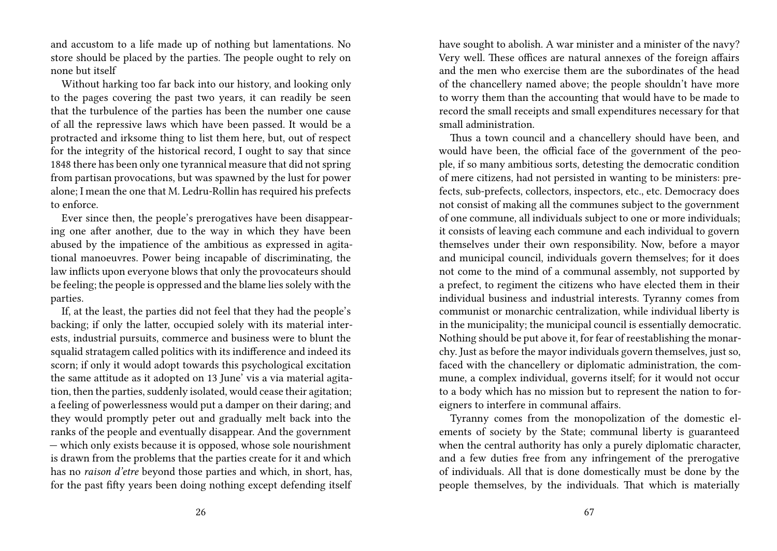and accustom to a life made up of nothing but lamentations. No store should be placed by the parties. The people ought to rely on none but itself

Without harking too far back into our history, and looking only to the pages covering the past two years, it can readily be seen that the turbulence of the parties has been the number one cause of all the repressive laws which have been passed. It would be a protracted and irksome thing to list them here, but, out of respect for the integrity of the historical record, I ought to say that since 1848 there has been only one tyrannical measure that did not spring from partisan provocations, but was spawned by the lust for power alone; I mean the one that M. Ledru-Rollin has required his prefects to enforce.

Ever since then, the people's prerogatives have been disappearing one after another, due to the way in which they have been abused by the impatience of the ambitious as expressed in agitational manoeuvres. Power being incapable of discriminating, the law inflicts upon everyone blows that only the provocateurs should be feeling; the people is oppressed and the blame lies solely with the parties.

If, at the least, the parties did not feel that they had the people's backing; if only the latter, occupied solely with its material interests, industrial pursuits, commerce and business were to blunt the squalid stratagem called politics with its indifference and indeed its scorn; if only it would adopt towards this psychological excitation the same attitude as it adopted on 13 June' vis a via material agitation, then the parties, suddenly isolated, would cease their agitation; a feeling of powerlessness would put a damper on their daring; and they would promptly peter out and gradually melt back into the ranks of the people and eventually disappear. And the government — which only exists because it is opposed, whose sole nourishment is drawn from the problems that the parties create for it and which has no *raison d'etre* beyond those parties and which, in short, has, for the past fifty years been doing nothing except defending itself have sought to abolish. A war minister and a minister of the navy? Very well. These offices are natural annexes of the foreign affairs and the men who exercise them are the subordinates of the head of the chancellery named above; the people shouldn't have more to worry them than the accounting that would have to be made to record the small receipts and small expenditures necessary for that small administration.

Thus a town council and a chancellery should have been, and would have been, the official face of the government of the people, if so many ambitious sorts, detesting the democratic condition of mere citizens, had not persisted in wanting to be ministers: prefects, sub-prefects, collectors, inspectors, etc., etc. Democracy does not consist of making all the communes subject to the government of one commune, all individuals subject to one or more individuals; it consists of leaving each commune and each individual to govern themselves under their own responsibility. Now, before a mayor and municipal council, individuals govern themselves; for it does not come to the mind of a communal assembly, not supported by a prefect, to regiment the citizens who have elected them in their individual business and industrial interests. Tyranny comes from communist or monarchic centralization, while individual liberty is in the municipality; the municipal council is essentially democratic. Nothing should be put above it, for fear of reestablishing the monarchy. Just as before the mayor individuals govern themselves, just so, faced with the chancellery or diplomatic administration, the commune, a complex individual, governs itself; for it would not occur to a body which has no mission but to represent the nation to foreigners to interfere in communal affairs.

Tyranny comes from the monopolization of the domestic elements of society by the State; communal liberty is guaranteed when the central authority has only a purely diplomatic character, and a few duties free from any infringement of the prerogative of individuals. All that is done domestically must be done by the people themselves, by the individuals. That which is materially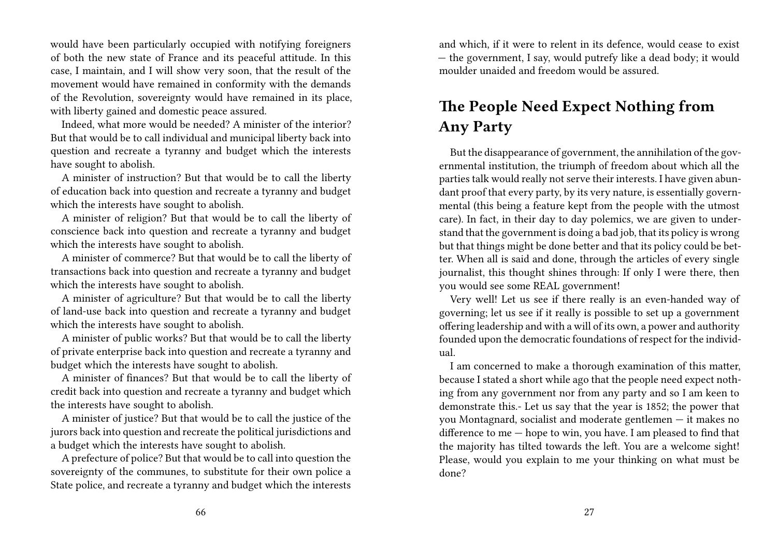would have been particularly occupied with notifying foreigners of both the new state of France and its peaceful attitude. In this case, I maintain, and I will show very soon, that the result of the movement would have remained in conformity with the demands of the Revolution, sovereignty would have remained in its place, with liberty gained and domestic peace assured.

Indeed, what more would be needed? A minister of the interior? But that would be to call individual and municipal liberty back into question and recreate a tyranny and budget which the interests have sought to abolish.

A minister of instruction? But that would be to call the liberty of education back into question and recreate a tyranny and budget which the interests have sought to abolish.

A minister of religion? But that would be to call the liberty of conscience back into question and recreate a tyranny and budget which the interests have sought to abolish.

A minister of commerce? But that would be to call the liberty of transactions back into question and recreate a tyranny and budget which the interests have sought to abolish.

A minister of agriculture? But that would be to call the liberty of land-use back into question and recreate a tyranny and budget which the interests have sought to abolish.

A minister of public works? But that would be to call the liberty of private enterprise back into question and recreate a tyranny and budget which the interests have sought to abolish.

A minister of finances? But that would be to call the liberty of credit back into question and recreate a tyranny and budget which the interests have sought to abolish.

A minister of justice? But that would be to call the justice of the jurors back into question and recreate the political jurisdictions and a budget which the interests have sought to abolish.

A prefecture of police? But that would be to call into question the sovereignty of the communes, to substitute for their own police a State police, and recreate a tyranny and budget which the interests

and which, if it were to relent in its defence, would cease to exist — the government, I say, would putrefy like a dead body; it would moulder unaided and freedom would be assured.

### **The People Need Expect Nothing from Any Party**

But the disappearance of government, the annihilation of the governmental institution, the triumph of freedom about which all the parties talk would really not serve their interests. I have given abundant proof that every party, by its very nature, is essentially governmental (this being a feature kept from the people with the utmost care). In fact, in their day to day polemics, we are given to understand that the government is doing a bad job, that its policy is wrong but that things might be done better and that its policy could be better. When all is said and done, through the articles of every single journalist, this thought shines through: If only I were there, then you would see some REAL government!

Very well! Let us see if there really is an even-handed way of governing; let us see if it really is possible to set up a government offering leadership and with a will of its own, a power and authority founded upon the democratic foundations of respect for the individual.

I am concerned to make a thorough examination of this matter, because I stated a short while ago that the people need expect nothing from any government nor from any party and so I am keen to demonstrate this.- Let us say that the year is 1852; the power that you Montagnard, socialist and moderate gentlemen — it makes no difference to me — hope to win, you have. I am pleased to find that the majority has tilted towards the left. You are a welcome sight! Please, would you explain to me your thinking on what must be done?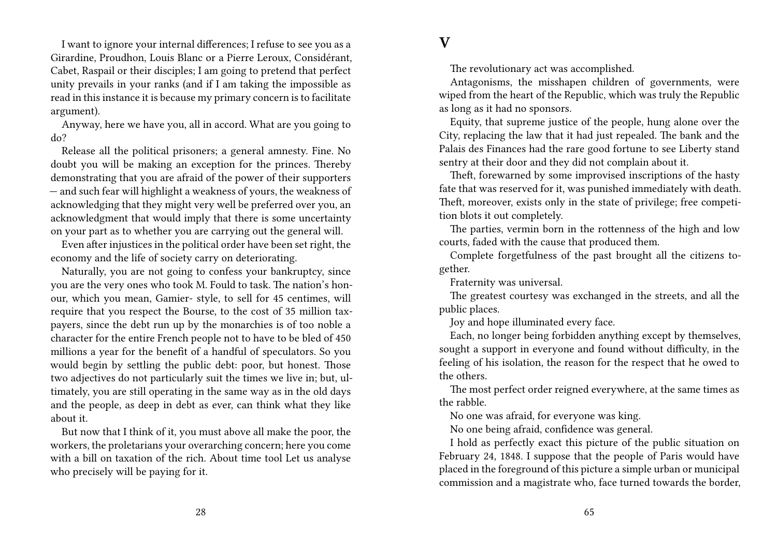I want to ignore your internal differences; I refuse to see you as a Girardine, Proudhon, Louis Blanc or a Pierre Leroux, Considérant, Cabet, Raspail or their disciples; I am going to pretend that perfect unity prevails in your ranks (and if I am taking the impossible as read in this instance it is because my primary concern is to facilitate argument).

Anyway, here we have you, all in accord. What are you going to do?

Release all the political prisoners; a general amnesty. Fine. No doubt you will be making an exception for the princes. Thereby demonstrating that you are afraid of the power of their supporters — and such fear will highlight a weakness of yours, the weakness of acknowledging that they might very well be preferred over you, an acknowledgment that would imply that there is some uncertainty on your part as to whether you are carrying out the general will.

Even after injustices in the political order have been set right, the economy and the life of society carry on deteriorating.

Naturally, you are not going to confess your bankruptcy, since you are the very ones who took M. Fould to task. The nation's honour, which you mean, Gamier- style, to sell for 45 centimes, will require that you respect the Bourse, to the cost of 35 million taxpayers, since the debt run up by the monarchies is of too noble a character for the entire French people not to have to be bled of 450 millions a year for the benefit of a handful of speculators. So you would begin by settling the public debt: poor, but honest. Those two adjectives do not particularly suit the times we live in; but, ultimately, you are still operating in the same way as in the old days and the people, as deep in debt as ever, can think what they like about it.

But now that I think of it, you must above all make the poor, the workers, the proletarians your overarching concern; here you come with a bill on taxation of the rich. About time tool Let us analyse who precisely will be paying for it.

### **V**

The revolutionary act was accomplished.

Antagonisms, the misshapen children of governments, were wiped from the heart of the Republic, which was truly the Republic as long as it had no sponsors.

Equity, that supreme justice of the people, hung alone over the City, replacing the law that it had just repealed. The bank and the Palais des Finances had the rare good fortune to see Liberty stand sentry at their door and they did not complain about it.

Theft, forewarned by some improvised inscriptions of the hasty fate that was reserved for it, was punished immediately with death. Theft, moreover, exists only in the state of privilege; free competition blots it out completely.

The parties, vermin born in the rottenness of the high and low courts, faded with the cause that produced them.

Complete forgetfulness of the past brought all the citizens together.

Fraternity was universal.

The greatest courtesy was exchanged in the streets, and all the public places.

Joy and hope illuminated every face.

Each, no longer being forbidden anything except by themselves, sought a support in everyone and found without difficulty, in the feeling of his isolation, the reason for the respect that he owed to the others.

The most perfect order reigned everywhere, at the same times as the rabble.

No one was afraid, for everyone was king.

No one being afraid, confidence was general.

I hold as perfectly exact this picture of the public situation on February 24, 1848. I suppose that the people of Paris would have placed in the foreground of this picture a simple urban or municipal commission and a magistrate who, face turned towards the border,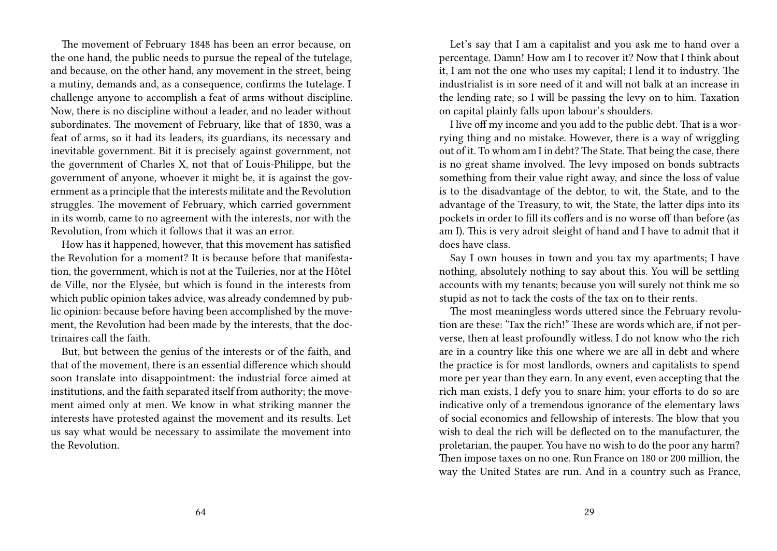The movement of February 1848 has been an error because, on the one hand, the public needs to pursue the repeal of the tutelage, and because, on the other hand, any movement in the street, being a mutiny, demands and, as a consequence, confirms the tutelage. I challenge anyone to accomplish a feat of arms without discipline. Now, there is no discipline without a leader, and no leader without subordinates. The movement of February, like that of 1830, was a feat of arms, so it had its leaders, its guardians, its necessary and inevitable government. Bit it is precisely against government, not the government of Charles X, not that of Louis-Philippe, but the government of anyone, whoever it might be, it is against the government as a principle that the interests militate and the Revolution struggles. The movement of February, which carried government in its womb, came to no agreement with the interests, nor with the Revolution, from which it follows that it was an error.

How has it happened, however, that this movement has satisfied the Revolution for a moment? It is because before that manifestation, the government, which is not at the Tuileries, nor at the Hôtel de Ville, nor the Elysée, but which is found in the interests from which public opinion takes advice, was already condemned by public opinion: because before having been accomplished by the movement, the Revolution had been made by the interests, that the doctrinaires call the faith.

But, but between the genius of the interests or of the faith, and that of the movement, there is an essential difference which should soon translate into disappointment: the industrial force aimed at institutions, and the faith separated itself from authority; the movement aimed only at men. We know in what striking manner the interests have protested against the movement and its results. Let us say what would be necessary to assimilate the movement into the Revolution.

Let's say that I am a capitalist and you ask me to hand over a percentage. Damn! How am I to recover it? Now that I think about it, I am not the one who uses my capital; I lend it to industry. The industrialist is in sore need of it and will not balk at an increase in the lending rate; so I will be passing the levy on to him. Taxation on capital plainly falls upon labour's shoulders.

I live off my income and you add to the public debt. That is a worrying thing and no mistake. However, there is a way of wriggling out of it. To whom am I in debt? The State. That being the case, there is no great shame involved. The levy imposed on bonds subtracts something from their value right away, and since the loss of value is to the disadvantage of the debtor, to wit, the State, and to the advantage of the Treasury, to wit, the State, the latter dips into its pockets in order to fill its coffers and is no worse off than before (as am I). This is very adroit sleight of hand and I have to admit that it does have class.

Say I own houses in town and you tax my apartments; I have nothing, absolutely nothing to say about this. You will be settling accounts with my tenants; because you will surely not think me so stupid as not to tack the costs of the tax on to their rents.

The most meaningless words uttered since the February revolution are these: 'Tax the rich!" These are words which are, if not perverse, then at least profoundly witless. I do not know who the rich are in a country like this one where we are all in debt and where the practice is for most landlords, owners and capitalists to spend more per year than they earn. In any event, even accepting that the rich man exists, I defy you to snare him; your efforts to do so are indicative only of a tremendous ignorance of the elementary laws of social economics and fellowship of interests. The blow that you wish to deal the rich will be deflected on to the manufacturer, the proletarian, the pauper. You have no wish to do the poor any harm? Then impose taxes on no one. Run France on 180 or 200 million, the way the United States are run. And in a country such as France,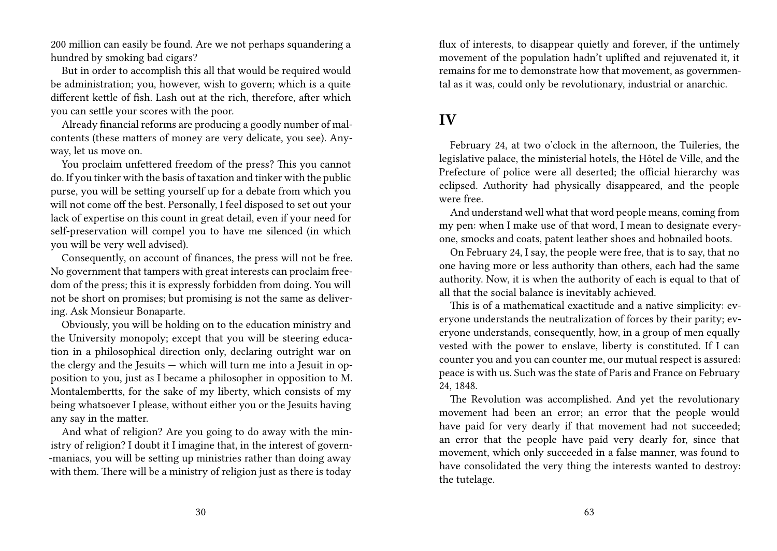200 million can easily be found. Are we not perhaps squandering a hundred by smoking bad cigars?

But in order to accomplish this all that would be required would be administration; you, however, wish to govern; which is a quite different kettle of fish. Lash out at the rich, therefore, after which you can settle your scores with the poor.

Already financial reforms are producing a goodly number of malcontents (these matters of money are very delicate, you see). Anyway, let us move on.

You proclaim unfettered freedom of the press? This you cannot do. If you tinker with the basis of taxation and tinker with the public purse, you will be setting yourself up for a debate from which you will not come off the best. Personally, I feel disposed to set out your lack of expertise on this count in great detail, even if your need for self-preservation will compel you to have me silenced (in which you will be very well advised).

Consequently, on account of finances, the press will not be free. No government that tampers with great interests can proclaim freedom of the press; this it is expressly forbidden from doing. You will not be short on promises; but promising is not the same as delivering. Ask Monsieur Bonaparte.

Obviously, you will be holding on to the education ministry and the University monopoly; except that you will be steering education in a philosophical direction only, declaring outright war on the clergy and the Jesuits — which will turn me into a Jesuit in opposition to you, just as I became a philosopher in opposition to M. Montalembertts, for the sake of my liberty, which consists of my being whatsoever I please, without either you or the Jesuits having any say in the matter.

And what of religion? Are you going to do away with the ministry of religion? I doubt it I imagine that, in the interest of govern- -maniacs, you will be setting up ministries rather than doing away with them. There will be a ministry of religion just as there is today

flux of interests, to disappear quietly and forever, if the untimely movement of the population hadn't uplifted and rejuvenated it, it remains for me to demonstrate how that movement, as governmental as it was, could only be revolutionary, industrial or anarchic.

### **IV**

February 24, at two o'clock in the afternoon, the Tuileries, the legislative palace, the ministerial hotels, the Hôtel de Ville, and the Prefecture of police were all deserted; the official hierarchy was eclipsed. Authority had physically disappeared, and the people were free.

And understand well what that word people means, coming from my pen: when I make use of that word, I mean to designate everyone, smocks and coats, patent leather shoes and hobnailed boots.

On February 24, I say, the people were free, that is to say, that no one having more or less authority than others, each had the same authority. Now, it is when the authority of each is equal to that of all that the social balance is inevitably achieved.

This is of a mathematical exactitude and a native simplicity: everyone understands the neutralization of forces by their parity; everyone understands, consequently, how, in a group of men equally vested with the power to enslave, liberty is constituted. If I can counter you and you can counter me, our mutual respect is assured: peace is with us. Such was the state of Paris and France on February 24, 1848.

The Revolution was accomplished. And yet the revolutionary movement had been an error; an error that the people would have paid for very dearly if that movement had not succeeded; an error that the people have paid very dearly for, since that movement, which only succeeded in a false manner, was found to have consolidated the very thing the interests wanted to destroy: the tutelage.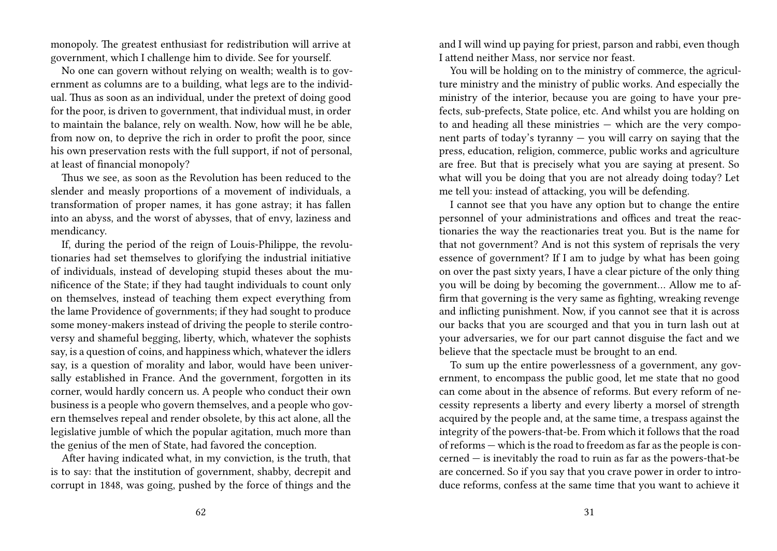monopoly. The greatest enthusiast for redistribution will arrive at government, which I challenge him to divide. See for yourself.

No one can govern without relying on wealth; wealth is to government as columns are to a building, what legs are to the individual. Thus as soon as an individual, under the pretext of doing good for the poor, is driven to government, that individual must, in order to maintain the balance, rely on wealth. Now, how will he be able, from now on, to deprive the rich in order to profit the poor, since his own preservation rests with the full support, if not of personal, at least of financial monopoly?

Thus we see, as soon as the Revolution has been reduced to the slender and measly proportions of a movement of individuals, a transformation of proper names, it has gone astray; it has fallen into an abyss, and the worst of abysses, that of envy, laziness and mendicancy.

If, during the period of the reign of Louis-Philippe, the revolutionaries had set themselves to glorifying the industrial initiative of individuals, instead of developing stupid theses about the munificence of the State; if they had taught individuals to count only on themselves, instead of teaching them expect everything from the lame Providence of governments; if they had sought to produce some money-makers instead of driving the people to sterile controversy and shameful begging, liberty, which, whatever the sophists say, is a question of coins, and happiness which, whatever the idlers say, is a question of morality and labor, would have been universally established in France. And the government, forgotten in its corner, would hardly concern us. A people who conduct their own business is a people who govern themselves, and a people who govern themselves repeal and render obsolete, by this act alone, all the legislative jumble of which the popular agitation, much more than the genius of the men of State, had favored the conception.

After having indicated what, in my conviction, is the truth, that is to say: that the institution of government, shabby, decrepit and corrupt in 1848, was going, pushed by the force of things and the

and I will wind up paying for priest, parson and rabbi, even though I attend neither Mass, nor service nor feast.

You will be holding on to the ministry of commerce, the agriculture ministry and the ministry of public works. And especially the ministry of the interior, because you are going to have your prefects, sub-prefects, State police, etc. And whilst you are holding on to and heading all these ministries — which are the very component parts of today's tyranny  $-$  you will carry on saying that the press, education, religion, commerce, public works and agriculture are free. But that is precisely what you are saying at present. So what will you be doing that you are not already doing today? Let me tell you: instead of attacking, you will be defending.

I cannot see that you have any option but to change the entire personnel of your administrations and offices and treat the reactionaries the way the reactionaries treat you. But is the name for that not government? And is not this system of reprisals the very essence of government? If I am to judge by what has been going on over the past sixty years, I have a clear picture of the only thing you will be doing by becoming the government… Allow me to affirm that governing is the very same as fighting, wreaking revenge and inflicting punishment. Now, if you cannot see that it is across our backs that you are scourged and that you in turn lash out at your adversaries, we for our part cannot disguise the fact and we believe that the spectacle must be brought to an end.

To sum up the entire powerlessness of a government, any government, to encompass the public good, let me state that no good can come about in the absence of reforms. But every reform of necessity represents a liberty and every liberty a morsel of strength acquired by the people and, at the same time, a trespass against the integrity of the powers-that-be. From which it follows that the road of reforms — which is the road to freedom as far as the people is concerned — is inevitably the road to ruin as far as the powers-that-be are concerned. So if you say that you crave power in order to introduce reforms, confess at the same time that you want to achieve it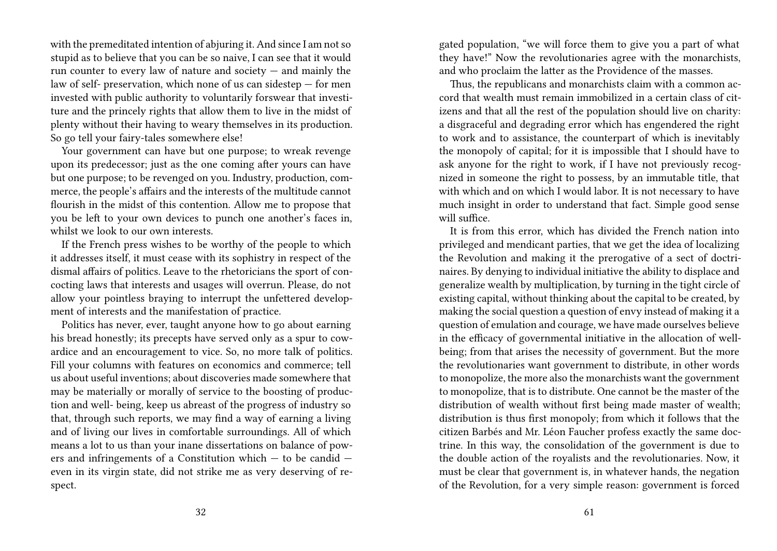with the premeditated intention of abjuring it. And since I am not so stupid as to believe that you can be so naive, I can see that it would run counter to every law of nature and society  $-$  and mainly the law of self- preservation, which none of us can sidestep — for men invested with public authority to voluntarily forswear that investiture and the princely rights that allow them to live in the midst of plenty without their having to weary themselves in its production. So go tell your fairy-tales somewhere else!

Your government can have but one purpose; to wreak revenge upon its predecessor; just as the one coming after yours can have but one purpose; to be revenged on you. Industry, production, commerce, the people's affairs and the interests of the multitude cannot flourish in the midst of this contention. Allow me to propose that you be left to your own devices to punch one another's faces in, whilst we look to our own interests.

If the French press wishes to be worthy of the people to which it addresses itself, it must cease with its sophistry in respect of the dismal affairs of politics. Leave to the rhetoricians the sport of concocting laws that interests and usages will overrun. Please, do not allow your pointless braying to interrupt the unfettered development of interests and the manifestation of practice.

Politics has never, ever, taught anyone how to go about earning his bread honestly; its precepts have served only as a spur to cowardice and an encouragement to vice. So, no more talk of politics. Fill your columns with features on economics and commerce; tell us about useful inventions; about discoveries made somewhere that may be materially or morally of service to the boosting of production and well- being, keep us abreast of the progress of industry so that, through such reports, we may find a way of earning a living and of living our lives in comfortable surroundings. All of which means a lot to us than your inane dissertations on balance of powers and infringements of a Constitution which — to be candid even in its virgin state, did not strike me as very deserving of respect.

gated population, "we will force them to give you a part of what they have!" Now the revolutionaries agree with the monarchists, and who proclaim the latter as the Providence of the masses.

Thus, the republicans and monarchists claim with a common accord that wealth must remain immobilized in a certain class of citizens and that all the rest of the population should live on charity: a disgraceful and degrading error which has engendered the right to work and to assistance, the counterpart of which is inevitably the monopoly of capital; for it is impossible that I should have to ask anyone for the right to work, if I have not previously recognized in someone the right to possess, by an immutable title, that with which and on which I would labor. It is not necessary to have much insight in order to understand that fact. Simple good sense will suffice.

It is from this error, which has divided the French nation into privileged and mendicant parties, that we get the idea of localizing the Revolution and making it the prerogative of a sect of doctrinaires. By denying to individual initiative the ability to displace and generalize wealth by multiplication, by turning in the tight circle of existing capital, without thinking about the capital to be created, by making the social question a question of envy instead of making it a question of emulation and courage, we have made ourselves believe in the efficacy of governmental initiative in the allocation of wellbeing; from that arises the necessity of government. But the more the revolutionaries want government to distribute, in other words to monopolize, the more also the monarchists want the government to monopolize, that is to distribute. One cannot be the master of the distribution of wealth without first being made master of wealth; distribution is thus first monopoly; from which it follows that the citizen Barbés and Mr. Léon Faucher profess exactly the same doctrine. In this way, the consolidation of the government is due to the double action of the royalists and the revolutionaries. Now, it must be clear that government is, in whatever hands, the negation of the Revolution, for a very simple reason: government is forced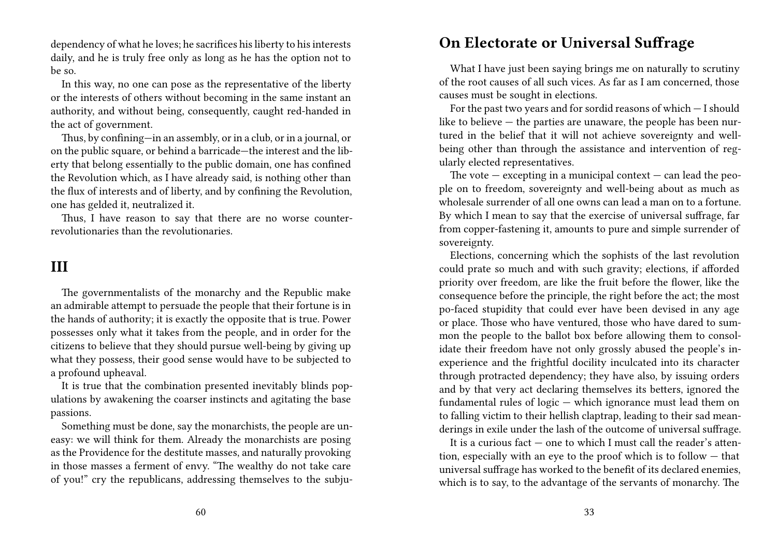dependency of what he loves; he sacrifices his liberty to his interests daily, and he is truly free only as long as he has the option not to be so.

In this way, no one can pose as the representative of the liberty or the interests of others without becoming in the same instant an authority, and without being, consequently, caught red-handed in the act of government.

Thus, by confining—in an assembly, or in a club, or in a journal, or on the public square, or behind a barricade—the interest and the liberty that belong essentially to the public domain, one has confined the Revolution which, as I have already said, is nothing other than the flux of interests and of liberty, and by confining the Revolution, one has gelded it, neutralized it.

Thus, I have reason to say that there are no worse counterrevolutionaries than the revolutionaries.

#### **III**

The governmentalists of the monarchy and the Republic make an admirable attempt to persuade the people that their fortune is in the hands of authority; it is exactly the opposite that is true. Power possesses only what it takes from the people, and in order for the citizens to believe that they should pursue well-being by giving up what they possess, their good sense would have to be subjected to a profound upheaval.

It is true that the combination presented inevitably blinds populations by awakening the coarser instincts and agitating the base passions.

Something must be done, say the monarchists, the people are uneasy: we will think for them. Already the monarchists are posing as the Providence for the destitute masses, and naturally provoking in those masses a ferment of envy. "The wealthy do not take care of you!" cry the republicans, addressing themselves to the subju-

#### **On Electorate or Universal Suffrage**

What I have just been saying brings me on naturally to scrutiny of the root causes of all such vices. As far as I am concerned, those causes must be sought in elections.

For the past two years and for sordid reasons of which — I should like to believe — the parties are unaware, the people has been nurtured in the belief that it will not achieve sovereignty and wellbeing other than through the assistance and intervention of regularly elected representatives.

The vote  $-$  excepting in a municipal context  $-$  can lead the people on to freedom, sovereignty and well-being about as much as wholesale surrender of all one owns can lead a man on to a fortune. By which I mean to say that the exercise of universal suffrage, far from copper-fastening it, amounts to pure and simple surrender of sovereignty.

Elections, concerning which the sophists of the last revolution could prate so much and with such gravity; elections, if afforded priority over freedom, are like the fruit before the flower, like the consequence before the principle, the right before the act; the most po-faced stupidity that could ever have been devised in any age or place. Those who have ventured, those who have dared to summon the people to the ballot box before allowing them to consolidate their freedom have not only grossly abused the people's inexperience and the frightful docility inculcated into its character through protracted dependency; they have also, by issuing orders and by that very act declaring themselves its betters, ignored the fundamental rules of logic — which ignorance must lead them on to falling victim to their hellish claptrap, leading to their sad meanderings in exile under the lash of the outcome of universal suffrage.

It is a curious fact  $-$  one to which I must call the reader's attention, especially with an eye to the proof which is to follow — that universal suffrage has worked to the benefit of its declared enemies, which is to say, to the advantage of the servants of monarchy. The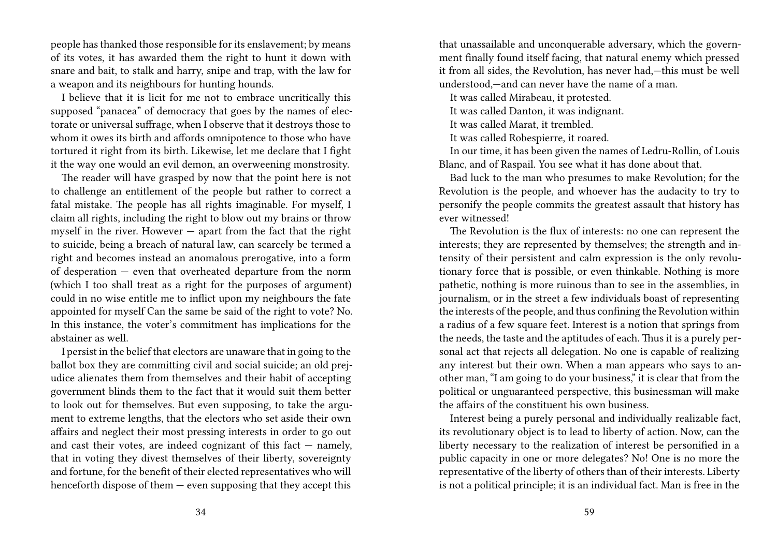people has thanked those responsible for its enslavement; by means of its votes, it has awarded them the right to hunt it down with snare and bait, to stalk and harry, snipe and trap, with the law for a weapon and its neighbours for hunting hounds.

I believe that it is licit for me not to embrace uncritically this supposed "panacea" of democracy that goes by the names of electorate or universal suffrage, when I observe that it destroys those to whom it owes its birth and affords omnipotence to those who have tortured it right from its birth. Likewise, let me declare that I fight it the way one would an evil demon, an overweening monstrosity.

The reader will have grasped by now that the point here is not to challenge an entitlement of the people but rather to correct a fatal mistake. The people has all rights imaginable. For myself, I claim all rights, including the right to blow out my brains or throw myself in the river. However — apart from the fact that the right to suicide, being a breach of natural law, can scarcely be termed a right and becomes instead an anomalous prerogative, into a form of desperation — even that overheated departure from the norm (which I too shall treat as a right for the purposes of argument) could in no wise entitle me to inflict upon my neighbours the fate appointed for myself Can the same be said of the right to vote? No. In this instance, the voter's commitment has implications for the abstainer as well.

I persist in the belief that electors are unaware that in going to the ballot box they are committing civil and social suicide; an old prejudice alienates them from themselves and their habit of accepting government blinds them to the fact that it would suit them better to look out for themselves. But even supposing, to take the argument to extreme lengths, that the electors who set aside their own affairs and neglect their most pressing interests in order to go out and cast their votes, are indeed cognizant of this fact  $-$  namely, that in voting they divest themselves of their liberty, sovereignty and fortune, for the benefit of their elected representatives who will henceforth dispose of them  $-$  even supposing that they accept this

that unassailable and unconquerable adversary, which the government finally found itself facing, that natural enemy which pressed it from all sides, the Revolution, has never had,—this must be well understood,—and can never have the name of a man.

It was called Mirabeau, it protested.

It was called Danton, it was indignant.

It was called Marat, it trembled.

It was called Robespierre, it roared.

In our time, it has been given the names of Ledru-Rollin, of Louis Blanc, and of Raspail. You see what it has done about that.

Bad luck to the man who presumes to make Revolution; for the Revolution is the people, and whoever has the audacity to try to personify the people commits the greatest assault that history has ever witnessed!

The Revolution is the flux of interests: no one can represent the interests; they are represented by themselves; the strength and intensity of their persistent and calm expression is the only revolutionary force that is possible, or even thinkable. Nothing is more pathetic, nothing is more ruinous than to see in the assemblies, in journalism, or in the street a few individuals boast of representing the interests of the people, and thus confining the Revolution within a radius of a few square feet. Interest is a notion that springs from the needs, the taste and the aptitudes of each. Thus it is a purely personal act that rejects all delegation. No one is capable of realizing any interest but their own. When a man appears who says to another man, "I am going to do your business," it is clear that from the political or unguaranteed perspective, this businessman will make the affairs of the constituent his own business.

Interest being a purely personal and individually realizable fact, its revolutionary object is to lead to liberty of action. Now, can the liberty necessary to the realization of interest be personified in a public capacity in one or more delegates? No! One is no more the representative of the liberty of others than of their interests. Liberty is not a political principle; it is an individual fact. Man is free in the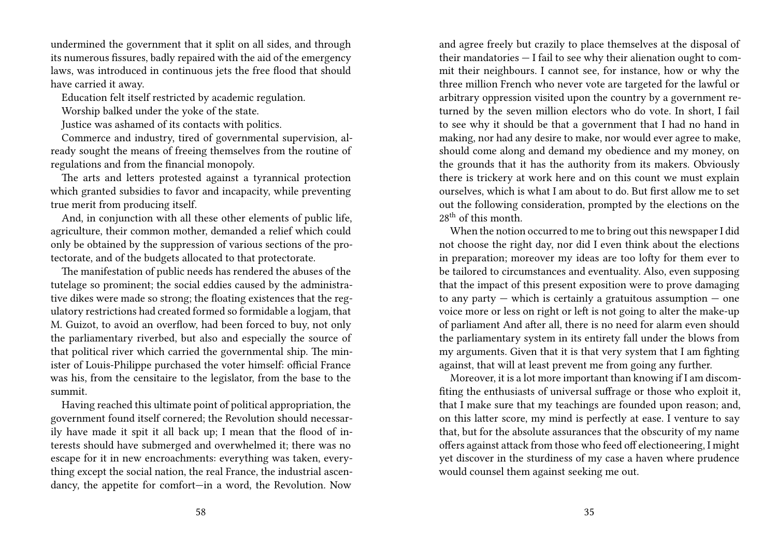undermined the government that it split on all sides, and through its numerous fissures, badly repaired with the aid of the emergency laws, was introduced in continuous jets the free flood that should have carried it away.

Education felt itself restricted by academic regulation.

Worship balked under the yoke of the state.

Justice was ashamed of its contacts with politics.

Commerce and industry, tired of governmental supervision, already sought the means of freeing themselves from the routine of regulations and from the financial monopoly.

The arts and letters protested against a tyrannical protection which granted subsidies to favor and incapacity, while preventing true merit from producing itself.

And, in conjunction with all these other elements of public life, agriculture, their common mother, demanded a relief which could only be obtained by the suppression of various sections of the protectorate, and of the budgets allocated to that protectorate.

The manifestation of public needs has rendered the abuses of the tutelage so prominent; the social eddies caused by the administrative dikes were made so strong; the floating existences that the regulatory restrictions had created formed so formidable a logjam, that M. Guizot, to avoid an overflow, had been forced to buy, not only the parliamentary riverbed, but also and especially the source of that political river which carried the governmental ship. The minister of Louis-Philippe purchased the voter himself: official France was his, from the censitaire to the legislator, from the base to the summit.

Having reached this ultimate point of political appropriation, the government found itself cornered; the Revolution should necessarily have made it spit it all back up; I mean that the flood of interests should have submerged and overwhelmed it; there was no escape for it in new encroachments: everything was taken, everything except the social nation, the real France, the industrial ascendancy, the appetite for comfort—in a word, the Revolution. Now

and agree freely but crazily to place themselves at the disposal of their mandatories — I fail to see why their alienation ought to commit their neighbours. I cannot see, for instance, how or why the three million French who never vote are targeted for the lawful or arbitrary oppression visited upon the country by a government returned by the seven million electors who do vote. In short, I fail to see why it should be that a government that I had no hand in making, nor had any desire to make, nor would ever agree to make, should come along and demand my obedience and my money, on the grounds that it has the authority from its makers. Obviously there is trickery at work here and on this count we must explain ourselves, which is what I am about to do. But first allow me to set out the following consideration, prompted by the elections on the  $28<sup>th</sup>$  of this month.

When the notion occurred to me to bring out this newspaper I did not choose the right day, nor did I even think about the elections in preparation; moreover my ideas are too lofty for them ever to be tailored to circumstances and eventuality. Also, even supposing that the impact of this present exposition were to prove damaging to any party  $-$  which is certainly a gratuitous assumption  $-$  one voice more or less on right or left is not going to alter the make-up of parliament And after all, there is no need for alarm even should the parliamentary system in its entirety fall under the blows from my arguments. Given that it is that very system that I am fighting against, that will at least prevent me from going any further.

Moreover, it is a lot more important than knowing if I am discomfiting the enthusiasts of universal suffrage or those who exploit it, that I make sure that my teachings are founded upon reason; and, on this latter score, my mind is perfectly at ease. I venture to say that, but for the absolute assurances that the obscurity of my name offers against attack from those who feed off electioneering, I might yet discover in the sturdiness of my case a haven where prudence would counsel them against seeking me out.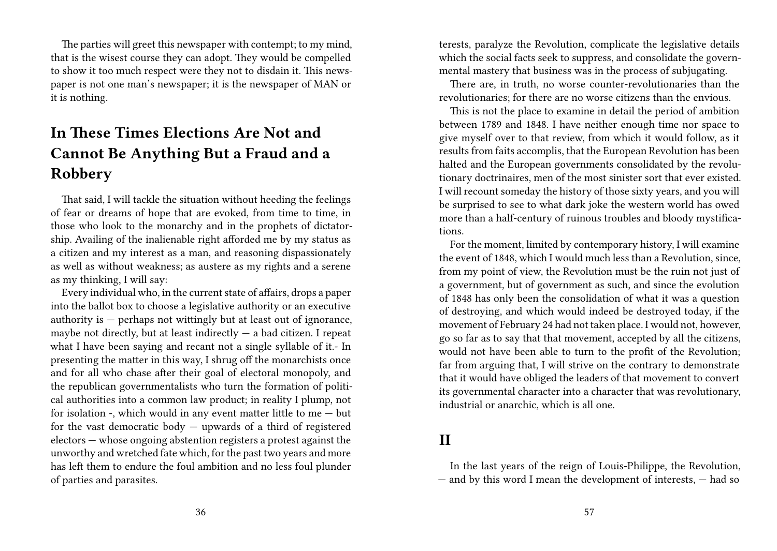The parties will greet this newspaper with contempt; to my mind, that is the wisest course they can adopt. They would be compelled to show it too much respect were they not to disdain it. This newspaper is not one man's newspaper; it is the newspaper of MAN or it is nothing.

### **In These Times Elections Are Not and Cannot Be Anything But a Fraud and a Robbery**

That said, I will tackle the situation without heeding the feelings of fear or dreams of hope that are evoked, from time to time, in those who look to the monarchy and in the prophets of dictatorship. Availing of the inalienable right afforded me by my status as a citizen and my interest as a man, and reasoning dispassionately as well as without weakness; as austere as my rights and a serene as my thinking, I will say:

Every individual who, in the current state of affairs, drops a paper into the ballot box to choose a legislative authority or an executive authority is  $-$  perhaps not wittingly but at least out of ignorance, maybe not directly, but at least indirectly  $-$  a bad citizen. I repeat what I have been saying and recant not a single syllable of it.- In presenting the matter in this way, I shrug off the monarchists once and for all who chase after their goal of electoral monopoly, and the republican governmentalists who turn the formation of political authorities into a common law product; in reality I plump, not for isolation -, which would in any event matter little to me — but for the vast democratic body — upwards of a third of registered electors — whose ongoing abstention registers a protest against the unworthy and wretched fate which, for the past two years and more has left them to endure the foul ambition and no less foul plunder of parties and parasites.

terests, paralyze the Revolution, complicate the legislative details which the social facts seek to suppress, and consolidate the governmental mastery that business was in the process of subjugating.

There are, in truth, no worse counter-revolutionaries than the revolutionaries; for there are no worse citizens than the envious.

This is not the place to examine in detail the period of ambition between 1789 and 1848. I have neither enough time nor space to give myself over to that review, from which it would follow, as it results from faits accomplis, that the European Revolution has been halted and the European governments consolidated by the revolutionary doctrinaires, men of the most sinister sort that ever existed. I will recount someday the history of those sixty years, and you will be surprised to see to what dark joke the western world has owed more than a half-century of ruinous troubles and bloody mystifications.

For the moment, limited by contemporary history, I will examine the event of 1848, which I would much less than a Revolution, since, from my point of view, the Revolution must be the ruin not just of a government, but of government as such, and since the evolution of 1848 has only been the consolidation of what it was a question of destroying, and which would indeed be destroyed today, if the movement of February 24 had not taken place. I would not, however, go so far as to say that that movement, accepted by all the citizens, would not have been able to turn to the profit of the Revolution; far from arguing that, I will strive on the contrary to demonstrate that it would have obliged the leaders of that movement to convert its governmental character into a character that was revolutionary, industrial or anarchic, which is all one.

### **II**

In the last years of the reign of Louis-Philippe, the Revolution, — and by this word I mean the development of interests, — had so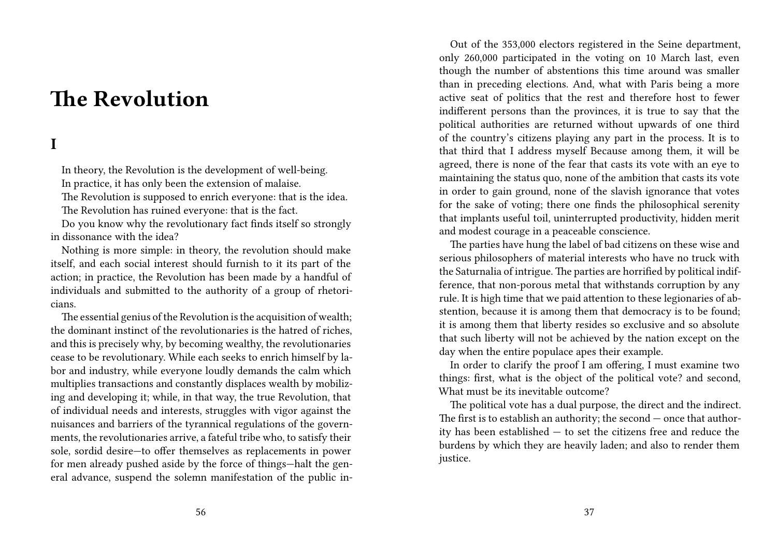## **The Revolution**

#### **I**

In theory, the Revolution is the development of well-being. In practice, it has only been the extension of malaise. The Revolution is supposed to enrich everyone: that is the idea. The Revolution has ruined everyone: that is the fact.

Do you know why the revolutionary fact finds itself so strongly in dissonance with the idea?

Nothing is more simple: in theory, the revolution should make itself, and each social interest should furnish to it its part of the action; in practice, the Revolution has been made by a handful of individuals and submitted to the authority of a group of rhetoricians.

The essential genius of the Revolution is the acquisition of wealth; the dominant instinct of the revolutionaries is the hatred of riches, and this is precisely why, by becoming wealthy, the revolutionaries cease to be revolutionary. While each seeks to enrich himself by labor and industry, while everyone loudly demands the calm which multiplies transactions and constantly displaces wealth by mobilizing and developing it; while, in that way, the true Revolution, that of individual needs and interests, struggles with vigor against the nuisances and barriers of the tyrannical regulations of the governments, the revolutionaries arrive, a fateful tribe who, to satisfy their sole, sordid desire—to offer themselves as replacements in power for men already pushed aside by the force of things—halt the general advance, suspend the solemn manifestation of the public in-

Out of the 353,000 electors registered in the Seine department, only 260,000 participated in the voting on 10 March last, even though the number of abstentions this time around was smaller than in preceding elections. And, what with Paris being a more active seat of politics that the rest and therefore host to fewer indifferent persons than the provinces, it is true to say that the political authorities are returned without upwards of one third of the country's citizens playing any part in the process. It is to that third that I address myself Because among them, it will be agreed, there is none of the fear that casts its vote with an eye to maintaining the status quo, none of the ambition that casts its vote in order to gain ground, none of the slavish ignorance that votes for the sake of voting; there one finds the philosophical serenity that implants useful toil, uninterrupted productivity, hidden merit and modest courage in a peaceable conscience.

The parties have hung the label of bad citizens on these wise and serious philosophers of material interests who have no truck with the Saturnalia of intrigue. The parties are horrified by political indifference, that non-porous metal that withstands corruption by any rule. It is high time that we paid attention to these legionaries of abstention, because it is among them that democracy is to be found; it is among them that liberty resides so exclusive and so absolute that such liberty will not be achieved by the nation except on the day when the entire populace apes their example.

In order to clarify the proof I am offering, I must examine two things: first, what is the object of the political vote? and second, What must be its inevitable outcome?

The political vote has a dual purpose, the direct and the indirect. The first is to establish an authority; the second — once that authority has been established — to set the citizens free and reduce the burdens by which they are heavily laden; and also to render them justice.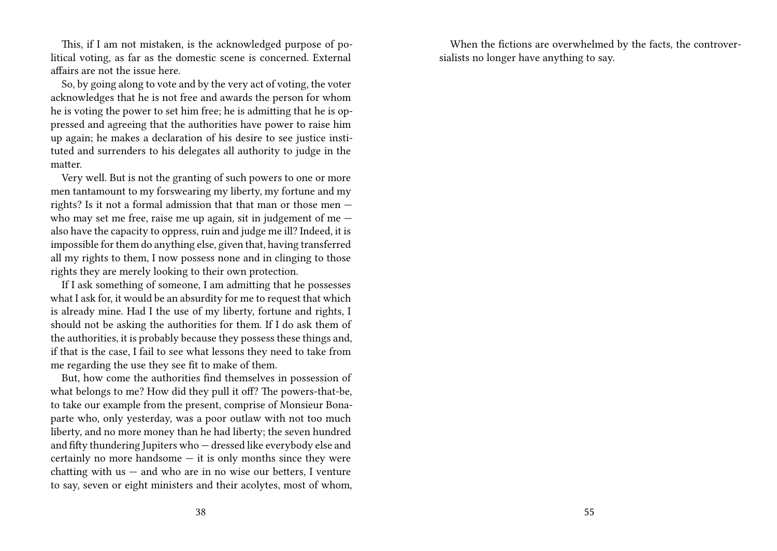This, if I am not mistaken, is the acknowledged purpose of political voting, as far as the domestic scene is concerned. External affairs are not the issue here.

So, by going along to vote and by the very act of voting, the voter acknowledges that he is not free and awards the person for whom he is voting the power to set him free; he is admitting that he is oppressed and agreeing that the authorities have power to raise him up again; he makes a declaration of his desire to see justice instituted and surrenders to his delegates all authority to judge in the matter.

Very well. But is not the granting of such powers to one or more men tantamount to my forswearing my liberty, my fortune and my rights? Is it not a formal admission that that man or those men who may set me free, raise me up again, sit in judgement of me – also have the capacity to oppress, ruin and judge me ill? Indeed, it is impossible for them do anything else, given that, having transferred all my rights to them, I now possess none and in clinging to those rights they are merely looking to their own protection.

If I ask something of someone, I am admitting that he possesses what I ask for, it would be an absurdity for me to request that which is already mine. Had I the use of my liberty, fortune and rights, I should not be asking the authorities for them. If I do ask them of the authorities, it is probably because they possess these things and, if that is the case, I fail to see what lessons they need to take from me regarding the use they see fit to make of them.

But, how come the authorities find themselves in possession of what belongs to me? How did they pull it off? The powers-that-be, to take our example from the present, comprise of Monsieur Bonaparte who, only yesterday, was a poor outlaw with not too much liberty, and no more money than he had liberty; the seven hundred and fifty thundering Jupiters who — dressed like everybody else and certainly no more handsome  $-$  it is only months since they were chatting with us  $-$  and who are in no wise our betters, I venture to say, seven or eight ministers and their acolytes, most of whom,

When the fictions are overwhelmed by the facts, the controversialists no longer have anything to say.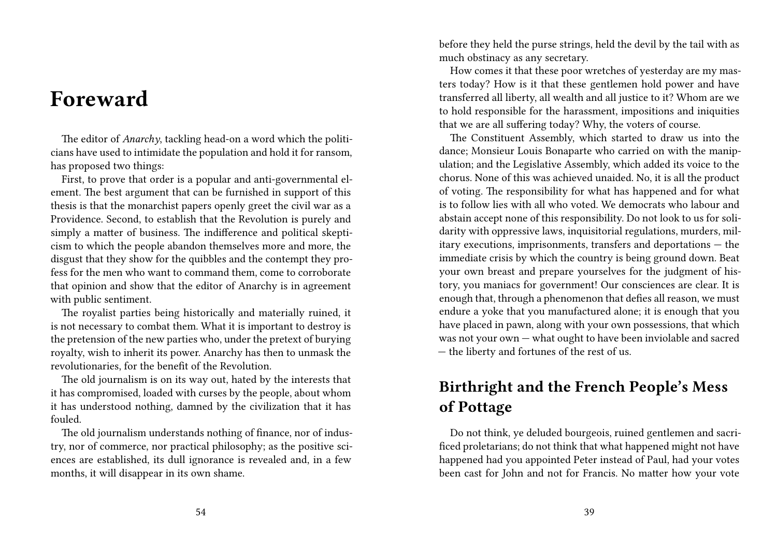## **Foreward**

The editor of *Anarchy*, tackling head-on a word which the politicians have used to intimidate the population and hold it for ransom, has proposed two things:

First, to prove that order is a popular and anti-governmental element. The best argument that can be furnished in support of this thesis is that the monarchist papers openly greet the civil war as a Providence. Second, to establish that the Revolution is purely and simply a matter of business. The indifference and political skepticism to which the people abandon themselves more and more, the disgust that they show for the quibbles and the contempt they profess for the men who want to command them, come to corroborate that opinion and show that the editor of Anarchy is in agreement with public sentiment.

The royalist parties being historically and materially ruined, it is not necessary to combat them. What it is important to destroy is the pretension of the new parties who, under the pretext of burying royalty, wish to inherit its power. Anarchy has then to unmask the revolutionaries, for the benefit of the Revolution.

The old journalism is on its way out, hated by the interests that it has compromised, loaded with curses by the people, about whom it has understood nothing, damned by the civilization that it has fouled.

The old journalism understands nothing of finance, nor of industry, nor of commerce, nor practical philosophy; as the positive sciences are established, its dull ignorance is revealed and, in a few months, it will disappear in its own shame.

before they held the purse strings, held the devil by the tail with as much obstinacy as any secretary.

How comes it that these poor wretches of yesterday are my masters today? How is it that these gentlemen hold power and have transferred all liberty, all wealth and all justice to it? Whom are we to hold responsible for the harassment, impositions and iniquities that we are all suffering today? Why, the voters of course.

The Constituent Assembly, which started to draw us into the dance; Monsieur Louis Bonaparte who carried on with the manipulation; and the Legislative Assembly, which added its voice to the chorus. None of this was achieved unaided. No, it is all the product of voting. The responsibility for what has happened and for what is to follow lies with all who voted. We democrats who labour and abstain accept none of this responsibility. Do not look to us for solidarity with oppressive laws, inquisitorial regulations, murders, military executions, imprisonments, transfers and deportations — the immediate crisis by which the country is being ground down. Beat your own breast and prepare yourselves for the judgment of history, you maniacs for government! Our consciences are clear. It is enough that, through a phenomenon that defies all reason, we must endure a yoke that you manufactured alone; it is enough that you have placed in pawn, along with your own possessions, that which was not your own — what ought to have been inviolable and sacred — the liberty and fortunes of the rest of us.

### **Birthright and the French People's Mess of Pottage**

Do not think, ye deluded bourgeois, ruined gentlemen and sacrificed proletarians; do not think that what happened might not have happened had you appointed Peter instead of Paul, had your votes been cast for John and not for Francis. No matter how your vote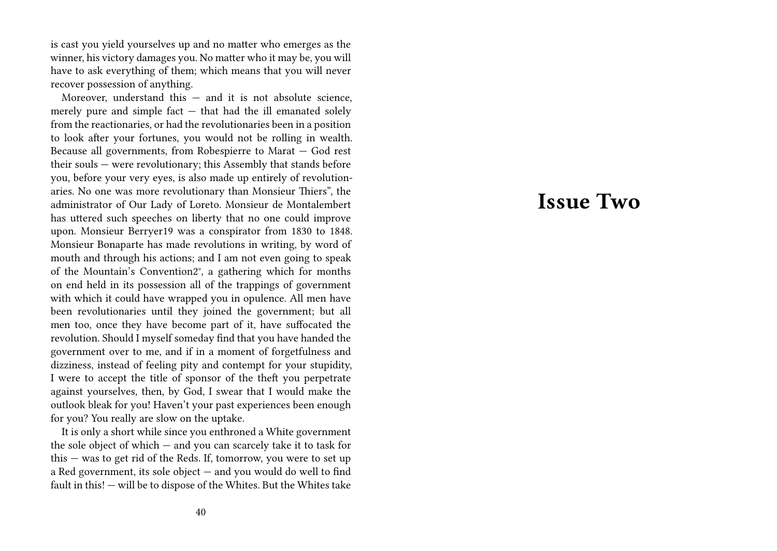is cast you yield yourselves up and no matter who emerges as the winner, his victory damages you. No matter who it may be, you will have to ask everything of them; which means that you will never recover possession of anything.

Moreover, understand this  $-$  and it is not absolute science, merely pure and simple fact — that had the ill emanated solely from the reactionaries, or had the revolutionaries been in a position to look after your fortunes, you would not be rolling in wealth. Because all governments, from Robespierre to Marat — God rest their souls — were revolutionary; this Assembly that stands before you, before your very eyes, is also made up entirely of revolutionaries. No one was more revolutionary than Monsieur Thiers", the administrator of Our Lady of Loreto. Monsieur de Montalembert has uttered such speeches on liberty that no one could improve upon. Monsieur Berryer19 was a conspirator from 1830 to 1848. Monsieur Bonaparte has made revolutions in writing, by word of mouth and through his actions; and I am not even going to speak of the Mountain's Convention2°, a gathering which for months on end held in its possession all of the trappings of government with which it could have wrapped you in opulence. All men have been revolutionaries until they joined the government; but all men too, once they have become part of it, have suffocated the revolution. Should I myself someday find that you have handed the government over to me, and if in a moment of forgetfulness and dizziness, instead of feeling pity and contempt for your stupidity, I were to accept the title of sponsor of the theft you perpetrate against yourselves, then, by God, I swear that I would make the outlook bleak for you! Haven't your past experiences been enough for you? You really are slow on the uptake.

It is only a short while since you enthroned a White government the sole object of which — and you can scarcely take it to task for this — was to get rid of the Reds. If, tomorrow, you were to set up a Red government, its sole object — and you would do well to find fault in this! — will be to dispose of the Whites. But the Whites take

## **Issue Two**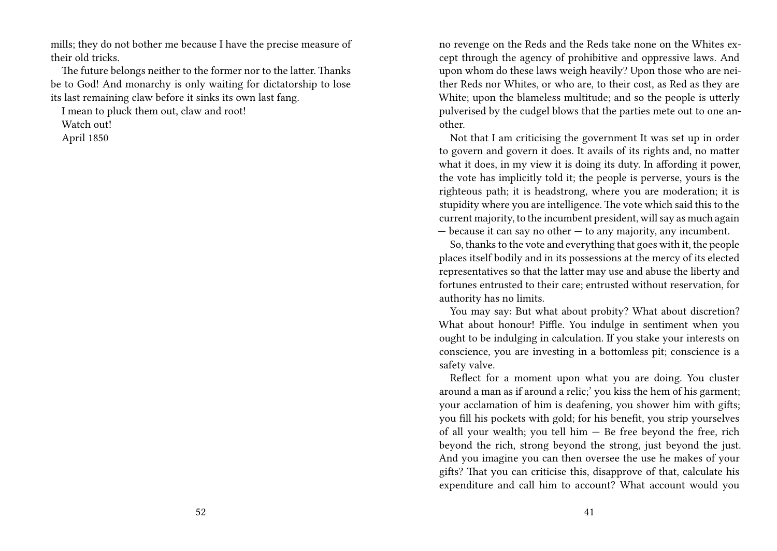mills; they do not bother me because I have the precise measure of their old tricks.

The future belongs neither to the former nor to the latter. Thanks be to God! And monarchy is only waiting for dictatorship to lose its last remaining claw before it sinks its own last fang.

I mean to pluck them out, claw and root!

Watch out!

April 1850

no revenge on the Reds and the Reds take none on the Whites except through the agency of prohibitive and oppressive laws. And upon whom do these laws weigh heavily? Upon those who are neither Reds nor Whites, or who are, to their cost, as Red as they are White; upon the blameless multitude; and so the people is utterly pulverised by the cudgel blows that the parties mete out to one another.

Not that I am criticising the government It was set up in order to govern and govern it does. It avails of its rights and, no matter what it does, in my view it is doing its duty. In affording it power, the vote has implicitly told it; the people is perverse, yours is the righteous path; it is headstrong, where you are moderation; it is stupidity where you are intelligence. The vote which said this to the current majority, to the incumbent president, will say as much again — because it can say no other — to any majority, any incumbent.

So, thanks to the vote and everything that goes with it, the people places itself bodily and in its possessions at the mercy of its elected representatives so that the latter may use and abuse the liberty and fortunes entrusted to their care; entrusted without reservation, for authority has no limits.

You may say: But what about probity? What about discretion? What about honour! Piffle. You indulge in sentiment when you ought to be indulging in calculation. If you stake your interests on conscience, you are investing in a bottomless pit; conscience is a safety valve.

Reflect for a moment upon what you are doing. You cluster around a man as if around a relic;' you kiss the hem of his garment; your acclamation of him is deafening, you shower him with gifts; you fill his pockets with gold; for his benefit, you strip yourselves of all your wealth; you tell him — Be free beyond the free, rich beyond the rich, strong beyond the strong, just beyond the just. And you imagine you can then oversee the use he makes of your gifts? That you can criticise this, disapprove of that, calculate his expenditure and call him to account? What account would you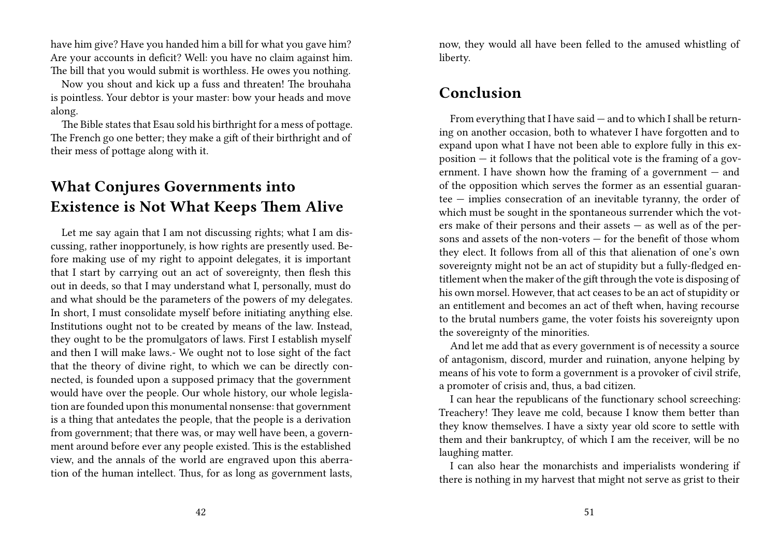have him give? Have you handed him a bill for what you gave him? Are your accounts in deficit? Well: you have no claim against him. The bill that you would submit is worthless. He owes you nothing.

Now you shout and kick up a fuss and threaten! The brouhaha is pointless. Your debtor is your master: bow your heads and move along.

The Bible states that Esau sold his birthright for a mess of pottage. The French go one better; they make a gift of their birthright and of their mess of pottage along with it.

### **What Conjures Governments into Existence is Not What Keeps Them Alive**

Let me say again that I am not discussing rights; what I am discussing, rather inopportunely, is how rights are presently used. Before making use of my right to appoint delegates, it is important that I start by carrying out an act of sovereignty, then flesh this out in deeds, so that I may understand what I, personally, must do and what should be the parameters of the powers of my delegates. In short, I must consolidate myself before initiating anything else. Institutions ought not to be created by means of the law. Instead, they ought to be the promulgators of laws. First I establish myself and then I will make laws.- We ought not to lose sight of the fact that the theory of divine right, to which we can be directly connected, is founded upon a supposed primacy that the government would have over the people. Our whole history, our whole legislation are founded upon this monumental nonsense: that government is a thing that antedates the people, that the people is a derivation from government; that there was, or may well have been, a government around before ever any people existed. This is the established view, and the annals of the world are engraved upon this aberration of the human intellect. Thus, for as long as government lasts,

now, they would all have been felled to the amused whistling of liberty.

### **Conclusion**

From everything that I have said — and to which I shall be returning on another occasion, both to whatever I have forgotten and to expand upon what I have not been able to explore fully in this exposition  $-$  it follows that the political vote is the framing of a government. I have shown how the framing of a government — and of the opposition which serves the former as an essential guarantee — implies consecration of an inevitable tyranny, the order of which must be sought in the spontaneous surrender which the voters make of their persons and their assets  $-$  as well as of the persons and assets of the non-voters — for the benefit of those whom they elect. It follows from all of this that alienation of one's own sovereignty might not be an act of stupidity but a fully-fledged entitlement when the maker of the gift through the vote is disposing of his own morsel. However, that act ceases to be an act of stupidity or an entitlement and becomes an act of theft when, having recourse to the brutal numbers game, the voter foists his sovereignty upon the sovereignty of the minorities.

And let me add that as every government is of necessity a source of antagonism, discord, murder and ruination, anyone helping by means of his vote to form a government is a provoker of civil strife, a promoter of crisis and, thus, a bad citizen.

I can hear the republicans of the functionary school screeching: Treachery! They leave me cold, because I know them better than they know themselves. I have a sixty year old score to settle with them and their bankruptcy, of which I am the receiver, will be no laughing matter.

I can also hear the monarchists and imperialists wondering if there is nothing in my harvest that might not serve as grist to their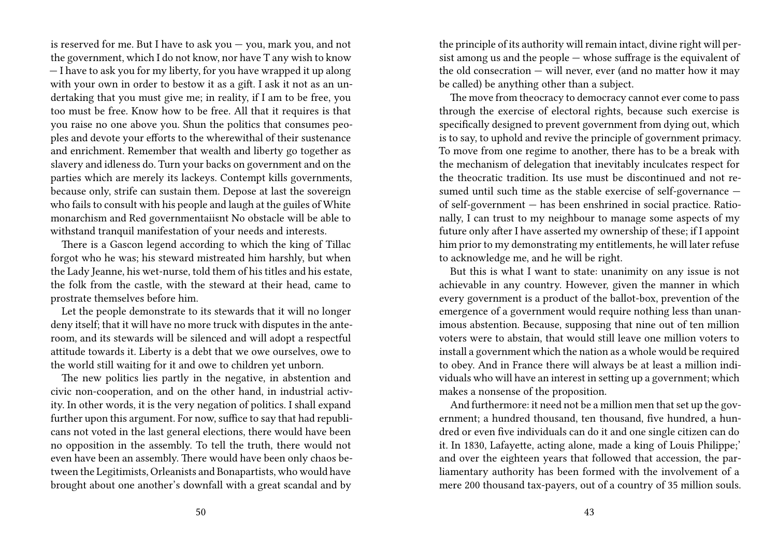is reserved for me. But I have to ask you — you, mark you, and not the government, which I do not know, nor have T any wish to know — I have to ask you for my liberty, for you have wrapped it up along with your own in order to bestow it as a gift. I ask it not as an undertaking that you must give me; in reality, if I am to be free, you too must be free. Know how to be free. All that it requires is that you raise no one above you. Shun the politics that consumes peoples and devote your efforts to the wherewithal of their sustenance and enrichment. Remember that wealth and liberty go together as slavery and idleness do. Turn your backs on government and on the parties which are merely its lackeys. Contempt kills governments, because only, strife can sustain them. Depose at last the sovereign who fails to consult with his people and laugh at the guiles of White monarchism and Red governmentaiisnt No obstacle will be able to withstand tranquil manifestation of your needs and interests.

There is a Gascon legend according to which the king of Tillac forgot who he was; his steward mistreated him harshly, but when the Lady Jeanne, his wet-nurse, told them of his titles and his estate, the folk from the castle, with the steward at their head, came to prostrate themselves before him.

Let the people demonstrate to its stewards that it will no longer deny itself; that it will have no more truck with disputes in the anteroom, and its stewards will be silenced and will adopt a respectful attitude towards it. Liberty is a debt that we owe ourselves, owe to the world still waiting for it and owe to children yet unborn.

The new politics lies partly in the negative, in abstention and civic non-cooperation, and on the other hand, in industrial activity. In other words, it is the very negation of politics. I shall expand further upon this argument. For now, suffice to say that had republicans not voted in the last general elections, there would have been no opposition in the assembly. To tell the truth, there would not even have been an assembly. There would have been only chaos between the Legitimists, Orleanists and Bonapartists, who would have brought about one another's downfall with a great scandal and by

the principle of its authority will remain intact, divine right will persist among us and the people — whose suffrage is the equivalent of the old consecration  $-$  will never, ever (and no matter how it may be called) be anything other than a subject.

The move from theocracy to democracy cannot ever come to pass through the exercise of electoral rights, because such exercise is specifically designed to prevent government from dying out, which is to say, to uphold and revive the principle of government primacy. To move from one regime to another, there has to be a break with the mechanism of delegation that inevitably inculcates respect for the theocratic tradition. Its use must be discontinued and not resumed until such time as the stable exercise of self-governance of self-government — has been enshrined in social practice. Rationally, I can trust to my neighbour to manage some aspects of my future only after I have asserted my ownership of these; if I appoint him prior to my demonstrating my entitlements, he will later refuse to acknowledge me, and he will be right.

But this is what I want to state: unanimity on any issue is not achievable in any country. However, given the manner in which every government is a product of the ballot-box, prevention of the emergence of a government would require nothing less than unanimous abstention. Because, supposing that nine out of ten million voters were to abstain, that would still leave one million voters to install a government which the nation as a whole would be required to obey. And in France there will always be at least a million individuals who will have an interest in setting up a government; which makes a nonsense of the proposition.

And furthermore: it need not be a million men that set up the government; a hundred thousand, ten thousand, five hundred, a hundred or even five individuals can do it and one single citizen can do it. In 1830, Lafayette, acting alone, made a king of Louis Philippe;' and over the eighteen years that followed that accession, the parliamentary authority has been formed with the involvement of a mere 200 thousand tax-payers, out of a country of 35 million souls.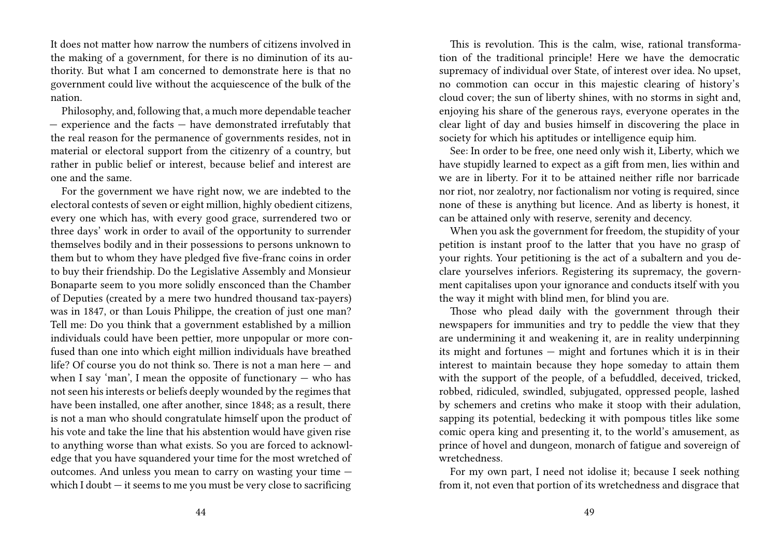It does not matter how narrow the numbers of citizens involved in the making of a government, for there is no diminution of its authority. But what I am concerned to demonstrate here is that no government could live without the acquiescence of the bulk of the nation.

Philosophy, and, following that, a much more dependable teacher — experience and the facts — have demonstrated irrefutably that the real reason for the permanence of governments resides, not in material or electoral support from the citizenry of a country, but rather in public belief or interest, because belief and interest are one and the same.

For the government we have right now, we are indebted to the electoral contests of seven or eight million, highly obedient citizens, every one which has, with every good grace, surrendered two or three days' work in order to avail of the opportunity to surrender themselves bodily and in their possessions to persons unknown to them but to whom they have pledged five five-franc coins in order to buy their friendship. Do the Legislative Assembly and Monsieur Bonaparte seem to you more solidly ensconced than the Chamber of Deputies (created by a mere two hundred thousand tax-payers) was in 1847, or than Louis Philippe, the creation of just one man? Tell me: Do you think that a government established by a million individuals could have been pettier, more unpopular or more confused than one into which eight million individuals have breathed life? Of course you do not think so. There is not a man here — and when I say 'man', I mean the opposite of functionary  $-$  who has not seen his interests or beliefs deeply wounded by the regimes that have been installed, one after another, since 1848; as a result, there is not a man who should congratulate himself upon the product of his vote and take the line that his abstention would have given rise to anything worse than what exists. So you are forced to acknowledge that you have squandered your time for the most wretched of outcomes. And unless you mean to carry on wasting your time which I doubt  $-$  it seems to me you must be very close to sacrificing

This is revolution. This is the calm, wise, rational transformation of the traditional principle! Here we have the democratic supremacy of individual over State, of interest over idea. No upset, no commotion can occur in this majestic clearing of history's cloud cover; the sun of liberty shines, with no storms in sight and, enjoying his share of the generous rays, everyone operates in the clear light of day and busies himself in discovering the place in society for which his aptitudes or intelligence equip him.

See: In order to be free, one need only wish it, Liberty, which we have stupidly learned to expect as a gift from men, lies within and we are in liberty. For it to be attained neither rifle nor barricade nor riot, nor zealotry, nor factionalism nor voting is required, since none of these is anything but licence. And as liberty is honest, it can be attained only with reserve, serenity and decency.

When you ask the government for freedom, the stupidity of your petition is instant proof to the latter that you have no grasp of your rights. Your petitioning is the act of a subaltern and you declare yourselves inferiors. Registering its supremacy, the government capitalises upon your ignorance and conducts itself with you the way it might with blind men, for blind you are.

Those who plead daily with the government through their newspapers for immunities and try to peddle the view that they are undermining it and weakening it, are in reality underpinning its might and fortunes — might and fortunes which it is in their interest to maintain because they hope someday to attain them with the support of the people, of a befuddled, deceived, tricked, robbed, ridiculed, swindled, subjugated, oppressed people, lashed by schemers and cretins who make it stoop with their adulation, sapping its potential, bedecking it with pompous titles like some comic opera king and presenting it, to the world's amusement, as prince of hovel and dungeon, monarch of fatigue and sovereign of wretchedness.

For my own part, I need not idolise it; because I seek nothing from it, not even that portion of its wretchedness and disgrace that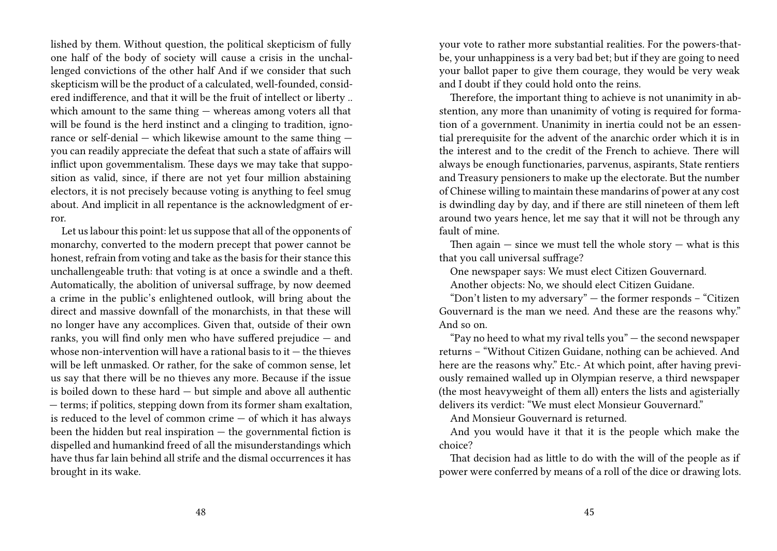lished by them. Without question, the political skepticism of fully one half of the body of society will cause a crisis in the unchallenged convictions of the other half And if we consider that such skepticism will be the product of a calculated, well-founded, considered indifference, and that it will be the fruit of intellect or liberty .. which amount to the same thing — whereas among voters all that will be found is the herd instinct and a clinging to tradition, ignorance or self-denial — which likewise amount to the same thing you can readily appreciate the defeat that such a state of affairs will inflict upon govemmentalism. These days we may take that supposition as valid, since, if there are not yet four million abstaining electors, it is not precisely because voting is anything to feel smug about. And implicit in all repentance is the acknowledgment of error.

Let us labour this point: let us suppose that all of the opponents of monarchy, converted to the modern precept that power cannot be honest, refrain from voting and take as the basis for their stance this unchallengeable truth: that voting is at once a swindle and a theft. Automatically, the abolition of universal suffrage, by now deemed a crime in the public's enlightened outlook, will bring about the direct and massive downfall of the monarchists, in that these will no longer have any accomplices. Given that, outside of their own ranks, you will find only men who have suffered prejudice — and whose non-intervention will have a rational basis to it  $-$  the thieves will be left unmasked. Or rather, for the sake of common sense, let us say that there will be no thieves any more. Because if the issue is boiled down to these hard — but simple and above all authentic — terms; if politics, stepping down from its former sham exaltation, is reduced to the level of common crime — of which it has always been the hidden but real inspiration  $-$  the governmental fiction is dispelled and humankind freed of all the misunderstandings which have thus far lain behind all strife and the dismal occurrences it has brought in its wake.

your vote to rather more substantial realities. For the powers-thatbe, your unhappiness is a very bad bet; but if they are going to need your ballot paper to give them courage, they would be very weak and I doubt if they could hold onto the reins.

Therefore, the important thing to achieve is not unanimity in abstention, any more than unanimity of voting is required for formation of a government. Unanimity in inertia could not be an essential prerequisite for the advent of the anarchic order which it is in the interest and to the credit of the French to achieve. There will always be enough functionaries, parvenus, aspirants, State rentiers and Treasury pensioners to make up the electorate. But the number of Chinese willing to maintain these mandarins of power at any cost is dwindling day by day, and if there are still nineteen of them left around two years hence, let me say that it will not be through any fault of mine.

Then again  $-$  since we must tell the whole story  $-$  what is this that you call universal suffrage?

One newspaper says: We must elect Citizen Gouvernard.

Another objects: No, we should elect Citizen Guidane.

"Don't listen to my adversary" — the former responds – "Citizen Gouvernard is the man we need. And these are the reasons why." And so on.

"Pay no heed to what my rival tells you" — the second newspaper returns – "Without Citizen Guidane, nothing can be achieved. And here are the reasons why." Etc.- At which point, after having previously remained walled up in Olympian reserve, a third newspaper (the most heavyweight of them all) enters the lists and agisterially delivers its verdict: "We must elect Monsieur Gouvernard."

And Monsieur Gouvernard is returned.

And you would have it that it is the people which make the choice?

That decision had as little to do with the will of the people as if power were conferred by means of a roll of the dice or drawing lots.